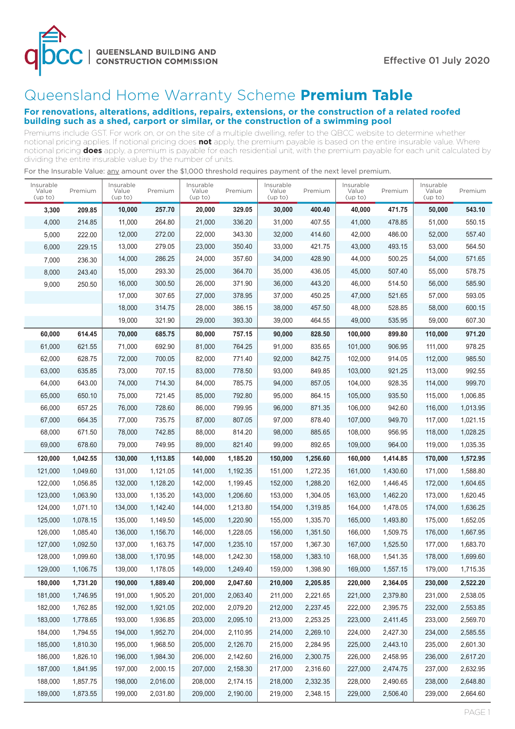

## Queensland Home Warranty Scheme **Premium Table**

## **For renovations, alterations, additions, repairs, extensions, or the construction of a related roofed building such as a shed, carport or similar, or the construction of a swimming pool**

Premiums include GST. For work on, or on the site of a multiple dwelling, refer to the QBCC website to determine whether notional pricing applies. If notional pricing does **not** apply, the premium payable is based on the entire insurable value. Where notional pricing **does** apply, a premium is payable for each residential unit, with the premium payable for each unit calculated by dividing the entire insurable value by the number of units.

| Insurable<br>Value<br>(up to) | Premium  | Insurable<br>Value<br>(up to) | Premium  | Insurable<br>Value<br>(up to) | Premium  | Insurable<br>Value<br>(up to) | Premium  | Insurable<br>Value<br>(up to) | Premium  | Insurable<br>Value<br>(up to) | Premium  |
|-------------------------------|----------|-------------------------------|----------|-------------------------------|----------|-------------------------------|----------|-------------------------------|----------|-------------------------------|----------|
| 3,300                         | 209.85   | 10,000                        | 257.70   | 20,000                        | 329.05   | 30,000                        | 400.40   | 40,000                        | 471.75   | 50,000                        | 543.10   |
| 4,000                         | 214.85   | 11,000                        | 264.80   | 21,000                        | 336.20   | 31,000                        | 407.55   | 41,000                        | 478.85   | 51,000                        | 550.15   |
| 5,000                         | 222.00   | 12,000                        | 272.00   | 22,000                        | 343.30   | 32,000                        | 414.60   | 42,000                        | 486.00   | 52,000                        | 557.40   |
| 6,000                         | 229.15   | 13,000                        | 279.05   | 23,000                        | 350.40   | 33,000                        | 421.75   | 43,000                        | 493.15   | 53,000                        | 564.50   |
| 7,000                         | 236.30   | 14,000                        | 286.25   | 24,000                        | 357.60   | 34,000                        | 428.90   | 44,000                        | 500.25   | 54,000                        | 571.65   |
| 8,000                         | 243.40   | 15,000                        | 293.30   | 25,000                        | 364.70   | 35,000                        | 436.05   | 45,000                        | 507.40   | 55,000                        | 578.75   |
| 9,000                         | 250.50   | 16,000                        | 300.50   | 26,000                        | 371.90   | 36,000                        | 443.20   | 46,000                        | 514.50   | 56,000                        | 585.90   |
|                               |          | 17,000                        | 307.65   | 27,000                        | 378.95   | 37,000                        | 450.25   | 47,000                        | 521.65   | 57,000                        | 593.05   |
|                               |          | 18,000                        | 314.75   | 28,000                        | 386.15   | 38,000                        | 457.50   | 48,000                        | 528.85   | 58,000                        | 600.15   |
|                               |          | 19,000                        | 321.90   | 29,000                        | 393.30   | 39,000                        | 464.55   | 49,000                        | 535.95   | 59,000                        | 607.30   |
| 60,000                        | 614.45   | 70,000                        | 685.75   | 80,000                        | 757.15   | 90,000                        | 828.50   | 100,000                       | 899.80   | 110,000                       | 971.20   |
| 61,000                        | 621.55   | 71,000                        | 692.90   | 81,000                        | 764.25   | 91,000                        | 835.65   | 101,000                       | 906.95   | 111,000                       | 978.25   |
| 62,000                        | 628.75   | 72,000                        | 700.05   | 82,000                        | 771.40   | 92,000                        | 842.75   | 102,000                       | 914.05   | 112,000                       | 985.50   |
| 63,000                        | 635.85   | 73,000                        | 707.15   | 83,000                        | 778.50   | 93,000                        | 849.85   | 103,000                       | 921.25   | 113,000                       | 992.55   |
| 64,000                        | 643.00   | 74,000                        | 714.30   | 84,000                        | 785.75   | 94,000                        | 857.05   | 104,000                       | 928.35   | 114,000                       | 999.70   |
| 65,000                        | 650.10   | 75,000                        | 721.45   | 85,000                        | 792.80   | 95,000                        | 864.15   | 105,000                       | 935.50   | 115,000                       | 1,006.85 |
| 66,000                        | 657.25   | 76,000                        | 728.60   | 86,000                        | 799.95   | 96,000                        | 871.35   | 106,000                       | 942.60   | 116,000                       | 1,013.95 |
| 67,000                        | 664.35   | 77,000                        | 735.75   | 87,000                        | 807.05   | 97,000                        | 878.40   | 107,000                       | 949.70   | 117,000                       | 1,021.15 |
| 68,000                        | 671.50   | 78,000                        | 742.85   | 88,000                        | 814.20   | 98,000                        | 885.65   | 108,000                       | 956.95   | 118,000                       | 1,028.25 |
| 69,000                        | 678.60   | 79,000                        | 749.95   | 89,000                        | 821.40   | 99,000                        | 892.65   | 109,000                       | 964.00   | 119,000                       | 1,035.35 |
| 120,000                       | 1,042.55 | 130,000                       | 1,113.85 | 140,000                       | 1,185.20 | 150,000                       | 1,256.60 | 160,000                       | 1,414.85 | 170,000                       | 1,572.95 |
| 121,000                       | 1,049.60 | 131,000                       | 1,121.05 | 141,000                       | 1,192.35 | 151,000                       | 1,272.35 | 161,000                       | 1,430.60 | 171,000                       | 1,588.80 |
| 122,000                       | 1,056.85 | 132,000                       | 1,128.20 | 142,000                       | 1,199.45 | 152,000                       | 1,288.20 | 162,000                       | 1,446.45 | 172,000                       | 1,604.65 |
| 123,000                       | 1,063.90 | 133,000                       | 1,135.20 | 143,000                       | 1,206.60 | 153,000                       | 1,304.05 | 163,000                       | 1,462.20 | 173,000                       | 1,620.45 |
| 124,000                       | 1,071.10 | 134,000                       | 1,142.40 | 144,000                       | 1,213.80 | 154,000                       | 1,319.85 | 164,000                       | 1,478.05 | 174,000                       | 1,636.25 |
| 125,000                       | 1,078.15 | 135,000                       | 1,149.50 | 145,000                       | 1,220.90 | 155,000                       | 1,335.70 | 165,000                       | 1,493.80 | 175,000                       | 1,652.05 |
| 126,000                       | 1,085.40 | 136,000                       | 1,156.70 | 146,000                       | 1,228.05 | 156,000                       | 1.351.50 | 166,000                       | 1,509.75 | 176,000                       | 1,667.95 |
| 127,000                       | 1,092.50 | 137,000                       | 1,163.75 | 147,000                       | 1,235.10 | 157,000                       | 1,367.30 | 167,000                       | 1,525.50 | 177,000                       | 1,683.70 |
| 128,000                       | 1.099.60 | 138,000                       | 1,170.95 | 148,000                       | 1,242.30 | 158.000                       | 1,383.10 | 168,000                       | 1,541.35 | 178,000                       | 1,699.60 |
| 129,000                       | 1,106.75 | 139,000                       | 1,178.05 | 149,000                       | 1,249.40 | 159,000                       | 1,398.90 | 169,000                       | 1,557.15 | 179,000                       | 1,715.35 |
| 180,000                       | 1,731.20 | 190,000                       | 1,889.40 | 200,000                       | 2,047.60 | 210,000                       | 2,205.85 | 220,000                       | 2,364.05 | 230,000                       | 2,522.20 |
| 181,000                       | 1,746.95 | 191,000                       | 1,905.20 | 201,000                       | 2,063.40 | 211,000                       | 2,221.65 | 221,000                       | 2,379.80 | 231,000                       | 2,538.05 |
| 182,000                       | 1,762.85 | 192,000                       | 1,921.05 | 202,000                       | 2,079.20 | 212,000                       | 2,237.45 | 222,000                       | 2,395.75 | 232,000                       | 2,553.85 |
| 183,000                       | 1,778.65 | 193,000                       | 1,936.85 | 203,000                       | 2,095.10 | 213,000                       | 2,253.25 | 223,000                       | 2,411.45 | 233,000                       | 2,569.70 |
| 184,000                       | 1,794.55 | 194,000                       | 1,952.70 | 204,000                       | 2,110.95 | 214,000                       | 2,269.10 | 224,000                       | 2,427.30 | 234,000                       | 2,585.55 |
| 185,000                       | 1,810.30 | 195,000                       | 1,968.50 | 205,000                       | 2,126.70 | 215,000                       | 2,284.95 | 225,000                       | 2,443.10 | 235,000                       | 2,601.30 |
| 186,000                       | 1,826.10 | 196,000                       | 1,984.30 | 206,000                       | 2,142.60 | 216,000                       | 2,300.75 | 226,000                       | 2,458.95 | 236,000                       | 2,617.20 |
| 187,000                       | 1,841.95 | 197,000                       | 2,000.15 | 207,000                       | 2,158.30 | 217,000                       | 2,316.60 | 227,000                       | 2,474.75 | 237,000                       | 2,632.95 |
| 188,000                       | 1,857.75 | 198,000                       | 2,016.00 | 208,000                       | 2,174.15 | 218,000                       | 2,332.35 | 228,000                       | 2,490.65 | 238,000                       | 2,648.80 |
| 189,000                       | 1,873.55 | 199,000                       | 2,031.80 | 209,000                       | 2,190.00 | 219,000                       | 2,348.15 | 229,000                       | 2,506.40 | 239,000                       | 2,664.60 |

For the Insurable Value: any amount over the \$1,000 threshold requires payment of the next level premium.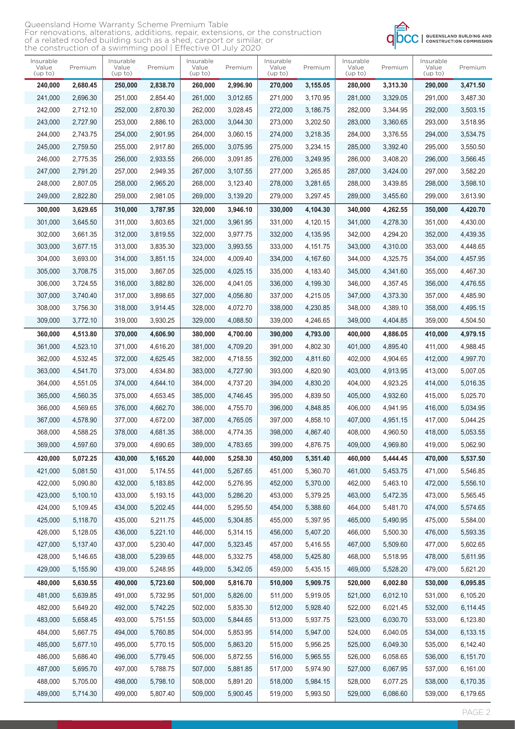| Queensland Home Warranty Scheme Premium Table                                    |
|----------------------------------------------------------------------------------|
| For renovations, alterations, additions, repair, extensions, or the construction |
| of a related roofed building such as a shed, carport or similar, or              |
| the construction of a swimming pool   Effective 01 July 2020                     |



| Insurable<br>Value<br>(up to) | Premium  | Insurable<br>Value<br>(up to) | Premium  | Insurable<br>Value<br>(up to) | Premium  | Insurable<br>Value<br>(up to) | Premium  | Insurable<br>Value<br>(up to) | Premium  | Insurable<br>Value<br>(up to) | Premium  |
|-------------------------------|----------|-------------------------------|----------|-------------------------------|----------|-------------------------------|----------|-------------------------------|----------|-------------------------------|----------|
| 240,000                       | 2,680.45 | 250,000                       | 2,838.70 | 260,000                       | 2,996.90 | 270,000                       | 3,155.05 | 280,000                       | 3,313.30 | 290,000                       | 3,471.50 |
| 241,000                       | 2,696.30 | 251,000                       | 2,854.40 | 261,000                       | 3,012.65 | 271.000                       | 3.170.95 | 281,000                       | 3,329.05 | 291,000                       | 3,487.30 |
| 242,000                       | 2,712.10 | 252,000                       | 2,870.30 | 262,000                       | 3,028.45 | 272,000                       | 3,186.75 | 282,000                       | 3,344.95 | 292,000                       | 3,503.15 |
| 243,000                       | 2,727.90 | 253,000                       | 2,886.10 | 263,000                       | 3,044.30 | 273,000                       | 3,202.50 | 283,000                       | 3,360.65 | 293,000                       | 3,518.95 |
| 244,000                       | 2,743.75 | 254,000                       | 2,901.95 | 264,000                       | 3,060.15 | 274,000                       | 3,218.35 | 284,000                       | 3,376.55 | 294,000                       | 3,534.75 |
| 245,000                       | 2,759.50 | 255,000                       | 2.917.80 | 265,000                       | 3,075.95 | 275.000                       | 3.234.15 | 285,000                       | 3.392.40 | 295,000                       | 3,550.50 |
| 246,000                       | 2,775.35 | 256,000                       | 2,933.55 | 266,000                       | 3,091.85 | 276,000                       | 3,249.95 | 286,000                       | 3,408.20 | 296,000                       | 3,566.45 |
| 247,000                       | 2,791.20 | 257,000                       | 2,949.35 | 267,000                       | 3,107.55 | 277,000                       | 3,265.85 | 287,000                       | 3,424.00 | 297,000                       | 3,582.20 |
| 248,000                       | 2,807.05 | 258,000                       | 2,965.20 | 268,000                       | 3,123.40 | 278,000                       | 3,281.65 | 288,000                       | 3,439.85 | 298,000                       | 3,598.10 |
| 249,000                       | 2,822.80 | 259,000                       | 2,981.05 | 269,000                       | 3,139.20 | 279,000                       | 3,297.45 | 289,000                       | 3,455.60 | 299,000                       | 3,613.90 |
| 300,000                       | 3,629.65 | 310,000                       | 3,787.95 | 320,000                       | 3,946.10 | 330,000                       | 4,104.30 | 340,000                       | 4,262.55 | 350,000                       | 4,420.70 |
| 301,000                       | 3,645.50 | 311,000                       | 3.803.65 | 321,000                       | 3,961.95 | 331,000                       | 4,120.15 | 341,000                       | 4,278.30 | 351,000                       | 4,430.00 |
| 302,000                       | 3,661.35 | 312,000                       | 3,819.55 | 322,000                       | 3,977.75 | 332,000                       | 4,135.95 | 342,000                       | 4,294.20 | 352,000                       | 4,439.35 |
| 303,000                       | 3,677.15 | 313,000                       | 3,835.30 | 323,000                       | 3,993.55 | 333,000                       | 4,151.75 | 343,000                       | 4,310.00 | 353,000                       | 4,448.65 |
| 304,000                       | 3,693.00 | 314,000                       | 3,851.15 | 324,000                       | 4,009.40 | 334,000                       | 4,167.60 | 344,000                       | 4,325.75 | 354,000                       | 4,457.95 |
| 305,000                       | 3,708.75 | 315,000                       | 3,867.05 | 325,000                       | 4,025.15 | 335,000                       | 4,183.40 | 345,000                       | 4,341.60 | 355,000                       | 4,467.30 |
| 306,000                       | 3,724.55 | 316,000                       | 3,882.80 | 326,000                       | 4,041.05 | 336,000                       | 4,199.30 | 346,000                       | 4,357.45 | 356,000                       | 4,476.55 |
| 307,000                       | 3,740.40 | 317,000                       | 3,898.65 | 327,000                       | 4,056.80 | 337,000                       | 4,215.05 | 347,000                       | 4,373.30 | 357,000                       | 4,485.90 |
| 308,000                       | 3,756.30 | 318,000                       | 3,914.45 | 328,000                       | 4,072.70 | 338,000                       | 4,230.85 | 348,000                       | 4,389.10 | 358,000                       | 4,495.15 |
| 309,000                       | 3,772.10 | 319,000                       | 3,930.25 | 329,000                       | 4,088.50 | 339,000                       | 4,246.65 | 349,000                       | 4,404.85 | 359,000                       | 4,504.50 |
|                               |          |                               |          |                               |          |                               |          |                               |          |                               |          |
| 360,000                       | 4,513.80 | 370,000                       | 4,606.90 | 380,000                       | 4,700.00 | 390,000                       | 4,793.00 | 400,000                       | 4,886.05 | 410,000                       | 4,979.15 |
| 361,000                       | 4,523.10 | 371,000                       | 4,616.20 | 381,000                       | 4,709.20 | 391,000                       | 4,802.30 | 401,000                       | 4,895.40 | 411,000                       | 4,988.45 |
| 362,000                       | 4,532.45 | 372,000                       | 4,625.45 | 382,000                       | 4,718.55 | 392,000                       | 4,811.60 | 402,000                       | 4,904.65 | 412,000                       | 4,997.70 |
| 363,000                       | 4,541.70 | 373,000                       | 4,634.80 | 383,000                       | 4,727.90 | 393,000                       | 4,820.90 | 403,000                       | 4,913.95 | 413,000                       | 5,007.05 |
| 364,000                       | 4,551.05 | 374,000                       | 4,644.10 | 384,000                       | 4,737.20 | 394,000                       | 4,830.20 | 404,000                       | 4,923.25 | 414,000                       | 5,016.35 |
| 365,000                       | 4,560.35 | 375,000                       | 4,653.45 | 385,000                       | 4,746.45 | 395,000                       | 4,839.50 | 405,000                       | 4.932.60 | 415,000                       | 5,025.70 |
| 366,000                       | 4,569.65 | 376,000                       | 4,662.70 | 386,000                       | 4,755.70 | 396,000                       | 4,848.85 | 406,000                       | 4,941.95 | 416,000                       | 5,034.95 |
| 367,000                       | 4,578.90 | 377,000                       | 4,672.00 | 387,000                       | 4,765.05 | 397,000                       | 4,858.10 | 407,000                       | 4,951.15 | 417,000                       | 5,044.25 |
| 368,000                       | 4.588.25 | 378,000                       | 4,681.35 | 388,000                       | 4,774.35 | 398,000                       | 4.867.40 | 408,000                       | 4.960.50 | 418,000                       | 5,053.55 |
| 369,000                       | 4,597.60 | 379,000                       | 4,690.65 | 389,000                       | 4,783.65 | 399,000                       | 4,876.75 | 409,000                       | 4,969.80 | 419,000                       | 5,062.90 |
| 420,000                       | 5,072.25 | 430,000                       | 5,165.20 | 440,000                       | 5,258.30 | 450,000                       | 5,351.40 | 460,000                       | 5,444.45 | 470,000                       | 5,537.50 |
| 421,000                       | 5,081.50 | 431,000                       | 5,174.55 | 441,000                       | 5,267.65 | 451,000                       | 5,360.70 | 461,000                       | 5,453.75 | 471,000                       | 5,546.85 |
| 422,000                       | 5,090.80 | 432,000                       | 5,183.85 | 442,000                       | 5,276.95 | 452,000                       | 5,370.00 | 462,000                       | 5,463.10 | 472,000                       | 5,556.10 |
| 423,000                       | 5,100.10 | 433,000                       | 5,193.15 | 443,000                       | 5,286.20 | 453,000                       | 5,379.25 | 463,000                       | 5,472.35 | 473,000                       | 5,565.45 |
| 424,000                       | 5,109.45 | 434,000                       | 5,202.45 | 444,000                       | 5,295.50 | 454,000                       | 5,388.60 | 464,000                       | 5,481.70 | 474,000                       | 5,574.65 |
| 425,000                       | 5,118.70 | 435,000                       | 5,211.75 | 445,000                       | 5,304.85 | 455,000                       | 5,397.95 | 465,000                       | 5,490.95 | 475,000                       | 5,584.00 |
| 426,000                       | 5,128.05 | 436,000                       | 5,221.10 | 446,000                       | 5,314.15 | 456,000                       | 5,407.20 | 466,000                       | 5,500.30 | 476,000                       | 5,593.35 |
| 427,000                       | 5,137.40 | 437,000                       | 5,230.40 | 447,000                       | 5,323.45 | 457,000                       | 5,416.55 | 467,000                       | 5,509.60 | 477,000                       | 5,602.65 |
| 428,000                       | 5,146.65 | 438,000                       | 5,239.65 | 448,000                       | 5,332.75 | 458,000                       | 5,425.80 | 468,000                       | 5,518.95 | 478,000                       | 5,611.95 |
| 429,000                       | 5,155.90 | 439,000                       | 5,248.95 | 449,000                       | 5,342.05 | 459,000                       | 5,435.15 | 469,000                       | 5,528.20 | 479,000                       | 5,621.20 |
| 480,000                       | 5,630.55 | 490,000                       | 5,723.60 | 500,000                       | 5,816.70 | 510,000                       | 5,909.75 | 520,000                       | 6,002.80 | 530,000                       | 6,095.85 |
| 481,000                       | 5,639.85 | 491,000                       | 5,732.95 | 501,000                       | 5,826.00 | 511,000                       | 5,919.05 | 521,000                       | 6,012.10 | 531,000                       | 6,105.20 |
| 482,000                       | 5,649.20 | 492,000                       | 5,742.25 | 502,000                       | 5,835.30 | 512,000                       | 5,928.40 | 522,000                       | 6,021.45 | 532,000                       | 6,114.45 |
| 483,000                       | 5,658.45 | 493,000                       | 5,751.55 | 503,000                       | 5,844.65 | 513,000                       | 5,937.75 | 523,000                       | 6,030.70 | 533,000                       | 6,123.80 |
| 484,000                       | 5,667.75 | 494,000                       | 5,760.85 | 504,000                       | 5,853.95 | 514,000                       | 5,947.00 | 524,000                       | 6,040.05 | 534,000                       | 6,133.15 |
| 485,000                       | 5,677.10 | 495,000                       | 5,770.15 | 505,000                       | 5,863.20 | 515,000                       | 5,956.25 | 525,000                       | 6,049.30 | 535,000                       | 6,142.40 |
| 486,000                       | 5,686.40 | 496,000                       | 5,779.45 | 506,000                       | 5,872.55 | 516,000                       | 5,965.55 | 526,000                       | 6,058.65 | 536,000                       | 6,151.70 |
| 487,000                       | 5,695.70 | 497,000                       | 5,788.75 | 507,000                       | 5,881.85 | 517,000                       | 5,974.90 | 527,000                       | 6,067.95 | 537,000                       | 6,161.00 |
| 488,000                       | 5,705.00 | 498,000                       | 5,798.10 | 508,000                       | 5,891.20 | 518,000                       | 5,984.15 | 528,000                       | 6,077.25 | 538,000                       | 6,170.35 |
| 489,000                       | 5,714.30 | 499,000                       | 5,807.40 | 509,000                       | 5,900.45 | 519,000                       | 5,993.50 | 529,000                       | 6,086.60 | 539,000                       | 6,179.65 |
|                               |          |                               |          |                               |          |                               |          |                               |          |                               |          |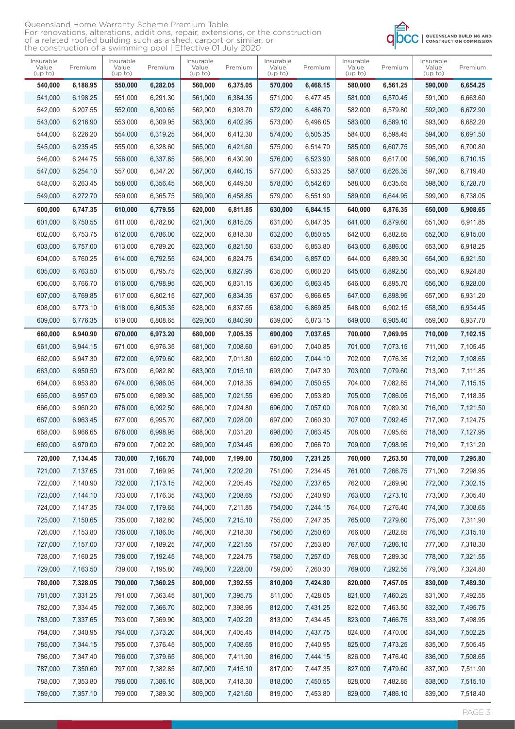| Queensland Home Warranty Scheme Premium Table                                    |
|----------------------------------------------------------------------------------|
| For renovations, alterations, additions, repair, extensions, or the construction |
| of a related roofed building such as a shed, carport or similar, or              |
| the construction of a swimming pool   Effective 01 July 2020                     |



| Insurable<br>Value<br>(up to) | Premium  | Insurable<br>Value<br>(up to) | Premium  | Insurable<br>Value<br>(up to) | Premium  | Insurable<br>Value<br>(up to) | Premium  | Insurable<br>Value<br>(up to) | Premium  | Insurable<br>Value<br>(up to) | Premium  |
|-------------------------------|----------|-------------------------------|----------|-------------------------------|----------|-------------------------------|----------|-------------------------------|----------|-------------------------------|----------|
| 540,000                       | 6,188.95 | 550,000                       | 6,282.05 | 560,000                       | 6,375.05 | 570,000                       | 6,468.15 | 580,000                       | 6,561.25 | 590,000                       | 6,654.25 |
| 541,000                       | 6,198.25 | 551,000                       | 6,291.30 | 561,000                       | 6,384.35 | 571,000                       | 6,477.45 | 581,000                       | 6,570.45 | 591,000                       | 6,663.60 |
| 542,000                       | 6,207.55 | 552,000                       | 6,300.65 | 562,000                       | 6,393.70 | 572,000                       | 6,486.70 | 582,000                       | 6,579.80 | 592,000                       | 6,672.90 |
| 543,000                       | 6,216.90 | 553,000                       | 6,309.95 | 563,000                       | 6,402.95 | 573,000                       | 6,496.05 | 583,000                       | 6,589.10 | 593,000                       | 6,682.20 |
| 544,000                       | 6,226.20 | 554,000                       | 6,319.25 | 564,000                       | 6,412.30 | 574,000                       | 6,505.35 | 584,000                       | 6,598.45 | 594,000                       | 6,691.50 |
| 545,000                       | 6,235.45 | 555,000                       | 6,328.60 | 565,000                       | 6,421.60 | 575,000                       | 6,514.70 | 585,000                       | 6,607.75 | 595,000                       | 6,700.80 |
| 546,000                       | 6,244.75 | 556,000                       | 6,337.85 | 566,000                       | 6,430.90 | 576,000                       | 6,523.90 | 586,000                       | 6,617.00 | 596,000                       | 6,710.15 |
| 547,000                       | 6,254.10 | 557,000                       | 6,347.20 | 567,000                       | 6,440.15 | 577,000                       | 6.533.25 | 587,000                       | 6.626.35 | 597,000                       | 6,719.40 |
| 548,000                       | 6,263.45 | 558,000                       | 6,356.45 | 568,000                       | 6,449.50 | 578,000                       | 6,542.60 | 588,000                       | 6,635.65 | 598,000                       | 6,728.70 |
| 549,000                       | 6,272.70 | 559,000                       | 6,365.75 | 569,000                       | 6,458.85 | 579,000                       | 6,551.90 | 589,000                       | 6,644.95 | 599,000                       | 6,738.05 |
| 600,000                       | 6,747.35 | 610,000                       | 6,779.55 | 620,000                       | 6,811.85 | 630,000                       | 6,844.15 | 640,000                       | 6,876.35 | 650,000                       | 6,908.65 |
| 601,000                       | 6,750.55 | 611,000                       | 6,782.80 | 621,000                       | 6,815.05 | 631,000                       | 6,847.35 | 641,000                       | 6.879.60 | 651,000                       | 6,911.85 |
| 602,000                       | 6,753.75 | 612,000                       | 6,786.00 | 622,000                       | 6.818.30 | 632,000                       | 6,850.55 | 642.000                       | 6,882.85 | 652,000                       | 6,915.00 |
| 603,000                       | 6,757.00 | 613,000                       | 6,789.20 | 623,000                       | 6,821.50 | 633,000                       | 6,853.80 | 643,000                       | 6.886.00 | 653,000                       | 6,918.25 |
| 604,000                       | 6,760.25 | 614,000                       | 6,792.55 | 624,000                       | 6,824.75 | 634,000                       | 6,857.00 | 644,000                       | 6,889.30 | 654,000                       | 6,921.50 |
| 605,000                       | 6.763.50 | 615,000                       | 6,795.75 | 625,000                       | 6,827.95 | 635,000                       | 6,860.20 | 645,000                       | 6.892.50 | 655,000                       | 6,924.80 |
| 606,000                       | 6,766.70 | 616,000                       | 6,798.95 | 626,000                       | 6,831.15 | 636,000                       | 6,863.45 | 646,000                       | 6,895.70 | 656,000                       | 6,928.00 |
| 607,000                       | 6.769.85 | 617,000                       | 6,802.15 | 627,000                       | 6,834.35 | 637,000                       | 6,866.65 | 647,000                       | 6.898.95 | 657,000                       | 6,931.20 |
| 608,000                       | 6,773.10 | 618,000                       | 6,805.35 | 628,000                       | 6,837.65 | 638,000                       | 6,869.85 | 648,000                       | 6,902.15 | 658,000                       | 6,934.45 |
| 609,000                       | 6,776.35 | 619,000                       | 6,808.65 | 629,000                       | 6,840.90 | 639,000                       | 6,873.15 | 649,000                       | 6,905.40 | 659,000                       | 6,937.70 |
| 660,000                       | 6,940.90 | 670,000                       | 6,973.20 | 680,000                       | 7,005.35 | 690,000                       | 7,037.65 | 700,000                       | 7,069.95 | 710,000                       | 7,102.15 |
| 661,000                       | 6,944.15 | 671,000                       | 6,976.35 | 681,000                       | 7,008.60 | 691,000                       | 7,040.85 | 701,000                       | 7,073.15 | 711,000                       | 7,105.45 |
| 662,000                       | 6,947.30 | 672,000                       | 6,979.60 | 682,000                       | 7,011.80 | 692,000                       | 7,044.10 | 702,000                       | 7,076.35 | 712,000                       | 7,108.65 |
| 663,000                       | 6,950.50 | 673,000                       | 6,982.80 | 683,000                       | 7,015.10 | 693,000                       | 7,047.30 | 703,000                       | 7,079.60 | 713,000                       | 7,111.85 |
| 664,000                       | 6,953.80 | 674,000                       | 6,986.05 | 684,000                       | 7,018.35 | 694,000                       | 7,050.55 | 704,000                       | 7,082.85 | 714,000                       | 7,115.15 |
| 665,000                       | 6.957.00 | 675,000                       | 6.989.30 | 685,000                       | 7,021.55 | 695,000                       | 7,053.80 | 705,000                       | 7,086.05 | 715,000                       | 7,118.35 |
| 666,000                       | 6,960.20 | 676,000                       | 6,992.50 | 686,000                       | 7,024.80 | 696,000                       | 7,057.00 | 706,000                       | 7,089.30 | 716,000                       | 7,121.50 |
| 667,000                       | 6,963.45 | 677,000                       | 6,995.70 | 687,000                       | 7,028.00 | 697,000                       | 7,060.30 | 707,000                       | 7,092.45 | 717,000                       | 7,124.75 |
| 668,000                       | 6,966.65 | 678,000                       | 6,998.95 | 688,000                       | 7,031.20 | 698,000                       | 7,063.45 | 708,000                       | 7,095.65 | 718,000                       | 7,127.95 |
| 669,000                       | 6,970.00 | 679,000                       | 7,002.20 | 689,000                       | 7,034.45 | 699,000                       | 7,066.70 | 709,000                       | 7,098.95 | 719,000                       | 7,131.20 |
| 720,000                       | 7,134.45 | 730,000                       | 7,166.70 | 740,000                       | 7,199.00 | 750,000                       | 7,231.25 | 760,000                       | 7,263.50 | 770,000                       | 7,295.80 |
| 721,000                       | 7,137.65 | 731,000                       | 7,169.95 | 741,000                       | 7,202.20 | 751,000                       | 7,234.45 | 761,000                       | 7,266.75 | 771,000                       | 7,298.95 |
| 722,000                       | 7,140.90 | 732,000                       | 7,173.15 | 742,000                       | 7,205.45 | 752,000                       | 7,237.65 | 762,000                       | 7,269.90 | 772,000                       | 7,302.15 |
| 723,000                       | 7,144.10 | 733,000                       | 7,176.35 | 743,000                       | 7,208.65 | 753,000                       | 7,240.90 | 763,000                       | 7,273.10 | 773,000                       | 7,305.40 |
| 724,000                       | 7,147.35 | 734,000                       | 7,179.65 | 744,000                       | 7,211.85 | 754,000                       | 7,244.15 | 764,000                       | 7,276.40 | 774,000                       | 7,308.65 |
| 725,000                       | 7,150.65 | 735,000                       | 7,182.80 | 745,000                       | 7,215.10 | 755,000                       | 7,247.35 | 765,000                       | 7,279.60 | 775,000                       | 7,311.90 |
| 726,000                       | 7,153.80 | 736,000                       | 7,186.05 | 746,000                       | 7,218.30 | 756,000                       | 7,250.60 | 766,000                       | 7,282.85 | 776,000                       | 7,315.10 |
| 727,000                       | 7,157.00 | 737,000                       | 7,189.25 | 747,000                       | 7,221.55 | 757,000                       | 7,253.80 | 767,000                       | 7,286.10 | 777,000                       | 7,318.30 |
| 728,000                       | 7,160.25 | 738,000                       | 7,192.45 | 748,000                       | 7,224.75 | 758,000                       | 7,257.00 | 768,000                       | 7,289.30 | 778,000                       | 7,321.55 |
| 729,000                       | 7,163.50 | 739,000                       | 7,195.80 | 749,000                       | 7,228.00 | 759,000                       | 7,260.30 | 769,000                       | 7,292.55 | 779,000                       | 7,324.80 |
| 780,000                       | 7,328.05 | 790,000                       | 7,360.25 | 800,000                       | 7,392.55 | 810,000                       | 7,424.80 | 820,000                       | 7,457.05 | 830,000                       | 7,489.30 |
| 781,000                       | 7,331.25 | 791,000                       | 7,363.45 | 801,000                       | 7,395.75 | 811,000                       | 7,428.05 | 821,000                       | 7,460.25 | 831,000                       | 7,492.55 |
| 782,000                       | 7,334.45 | 792,000                       | 7,366.70 | 802,000                       | 7,398.95 | 812,000                       | 7,431.25 | 822,000                       | 7,463.50 | 832,000                       | 7,495.75 |
| 783,000                       | 7,337.65 | 793,000                       | 7,369.90 | 803,000                       | 7,402.20 | 813,000                       | 7,434.45 | 823,000                       | 7,466.75 | 833,000                       | 7,498.95 |
| 784,000                       | 7,340.95 | 794,000                       | 7,373.20 | 804,000                       | 7,405.45 | 814,000                       | 7,437.75 | 824,000                       | 7,470.00 | 834,000                       | 7,502.25 |
| 785,000                       | 7,344.15 | 795,000                       | 7,376.45 | 805,000                       | 7,408.65 | 815,000                       | 7,440.95 | 825,000                       | 7,473.25 | 835,000                       | 7,505.45 |
| 786,000                       | 7,347.40 | 796,000                       | 7,379.65 | 806,000                       | 7,411.90 | 816,000                       | 7,444.15 | 826,000                       | 7,476.40 | 836,000                       | 7,508.65 |
| 787,000                       | 7,350.60 | 797,000                       | 7,382.85 | 807,000                       | 7,415.10 | 817,000                       | 7,447.35 | 827,000                       | 7,479.60 | 837,000                       | 7,511.90 |
| 788,000                       | 7,353.80 | 798,000                       | 7,386.10 | 808,000                       | 7,418.30 | 818,000                       | 7,450.55 | 828,000                       | 7,482.85 | 838,000                       | 7,515.10 |
| 789,000                       | 7,357.10 | 799,000                       | 7,389.30 | 809,000                       | 7,421.60 | 819,000                       | 7,453.80 | 829,000                       | 7,486.10 | 839,000                       | 7,518.40 |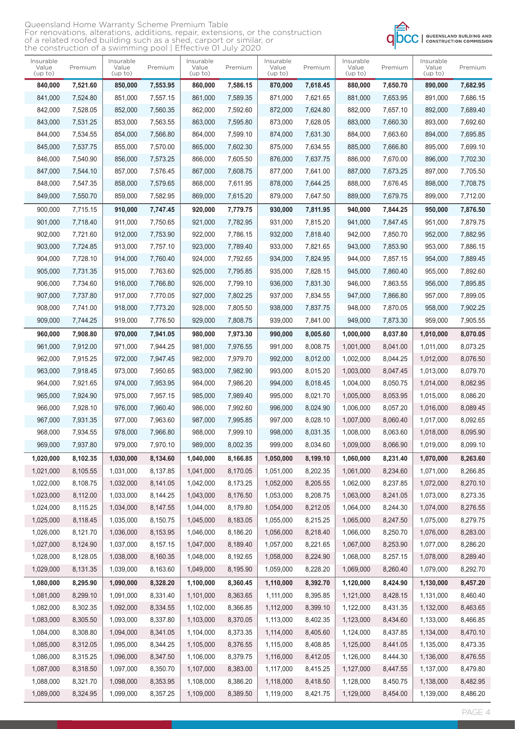| Queensland Home Warranty Scheme Premium Table                                    |
|----------------------------------------------------------------------------------|
| For renovations, alterations, additions, repair, extensions, or the construction |
| of a related roofed building such as a shed, carport or similar, or              |
| the construction of a swimming pool   Effective 01 July 2020                     |



| Insurable<br>Value<br>(up to) | Premium  | Insurable<br>Value<br>(up to) | Premium  | Insurable<br>Value<br>(up to) | Premium  | Insurable<br>Value<br>(up to) | Premium  | Insurable<br>Value<br>(up to) | Premium  | Insurable<br>Value<br>(up to) | Premium  |
|-------------------------------|----------|-------------------------------|----------|-------------------------------|----------|-------------------------------|----------|-------------------------------|----------|-------------------------------|----------|
| 840,000                       | 7,521.60 | 850,000                       | 7,553.95 | 860,000                       | 7,586.15 | 870,000                       | 7,618.45 | 880,000                       | 7,650.70 | 890,000                       | 7,682.95 |
| 841,000                       | 7,524.80 | 851,000                       | 7,557.15 | 861,000                       | 7.589.35 | 871.000                       | 7.621.65 | 881,000                       | 7,653.95 | 891,000                       | 7.686.15 |
| 842,000                       | 7,528.05 | 852,000                       | 7,560.35 | 862,000                       | 7,592.60 | 872,000                       | 7,624.80 | 882,000                       | 7,657.10 | 892,000                       | 7,689.40 |
| 843,000                       | 7,531.25 | 853,000                       | 7,563.55 | 863,000                       | 7,595.80 | 873,000                       | 7,628.05 | 883,000                       | 7,660.30 | 893,000                       | 7,692.60 |
| 844,000                       | 7,534.55 | 854,000                       | 7,566.80 | 864,000                       | 7,599.10 | 874,000                       | 7,631.30 | 884,000                       | 7,663.60 | 894,000                       | 7,695.85 |
| 845,000                       | 7.537.75 | 855,000                       | 7,570.00 | 865,000                       | 7,602.30 | 875,000                       | 7,634.55 | 885,000                       | 7.666.80 | 895,000                       | 7,699.10 |
| 846,000                       | 7,540.90 | 856,000                       | 7,573.25 | 866,000                       | 7,605.50 | 876,000                       | 7,637.75 | 886,000                       | 7,670.00 | 896,000                       | 7,702.30 |
| 847,000                       | 7,544.10 | 857,000                       | 7,576.45 | 867,000                       | 7,608.75 | 877,000                       | 7,641.00 | 887,000                       | 7,673.25 | 897,000                       | 7,705.50 |
| 848,000                       | 7,547.35 | 858,000                       | 7,579.65 | 868,000                       | 7,611.95 | 878,000                       | 7,644.25 | 888,000                       | 7,676.45 | 898,000                       | 7,708.75 |
| 849,000                       | 7,550.70 | 859,000                       | 7,582.95 | 869,000                       | 7,615.20 | 879,000                       | 7,647.50 | 889,000                       | 7,679.75 | 899,000                       | 7,712.00 |
| 900,000                       | 7,715.15 | 910,000                       | 7,747.45 | 920,000                       | 7,779.75 | 930,000                       | 7,811.95 | 940,000                       | 7,844.25 | 950,000                       | 7,876.50 |
| 901,000                       | 7,718.40 | 911,000                       | 7,750.65 | 921,000                       | 7,782.95 | 931.000                       | 7,815.20 | 941,000                       | 7,847.45 | 951,000                       | 7,879.75 |
| 902,000                       | 7.721.60 | 912,000                       | 7,753.90 | 922,000                       | 7,786.15 | 932,000                       | 7,818.40 | 942,000                       | 7,850.70 | 952,000                       | 7,882.95 |
| 903,000                       | 7,724.85 | 913,000                       | 7,757.10 | 923,000                       | 7,789.40 | 933.000                       | 7,821.65 | 943,000                       | 7,853.90 | 953,000                       | 7,886.15 |
| 904,000                       | 7,728.10 | 914,000                       | 7,760.40 | 924,000                       | 7,792.65 | 934,000                       | 7,824.95 | 944,000                       | 7,857.15 | 954,000                       | 7,889.45 |
| 905,000                       | 7,731.35 | 915,000                       | 7,763.60 | 925,000                       | 7,795.85 | 935,000                       | 7,828.15 | 945,000                       | 7,860.40 | 955,000                       | 7,892.60 |
| 906,000                       | 7,734.60 | 916,000                       | 7,766.80 | 926,000                       | 7,799.10 | 936,000                       | 7,831.30 | 946,000                       | 7,863.55 | 956,000                       | 7,895.85 |
| 907,000                       | 7,737.80 | 917,000                       | 7,770.05 | 927,000                       | 7,802.25 | 937,000                       | 7,834.55 | 947,000                       | 7,866.80 | 957,000                       | 7,899.05 |
| 908,000                       | 7,741.00 | 918,000                       | 7,773.20 | 928,000                       | 7,805.50 | 938,000                       | 7,837.75 | 948,000                       | 7,870.05 | 958,000                       | 7,902.25 |
| 909,000                       | 7,744.25 | 919,000                       | 7,776.50 | 929,000                       | 7,808.75 | 939,000                       | 7,841.00 | 949,000                       | 7,873.30 | 959,000                       | 7,905.55 |
| 960,000                       | 7,908.80 | 970,000                       | 7,941.05 | 980,000                       | 7,973.30 | 990,000                       | 8,005.60 | 1,000,000                     | 8,037.80 | 1,010,000                     | 8,070.05 |
| 961,000                       | 7,912.00 | 971,000                       | 7,944.25 | 981,000                       | 7,976.55 | 991,000                       | 8,008.75 | 1,001,000                     | 8,041.00 | 1,011,000                     | 8,073.25 |
| 962,000                       | 7,915.25 | 972,000                       | 7,947.45 | 982,000                       | 7,979.70 | 992,000                       | 8,012.00 | 1,002,000                     | 8,044.25 | 1,012,000                     | 8,076.50 |
| 963,000                       | 7,918.45 | 973,000                       | 7,950.65 | 983,000                       | 7,982.90 | 993,000                       | 8,015.20 | 1,003,000                     | 8,047.45 | 1,013,000                     | 8,079.70 |
| 964,000                       | 7,921.65 | 974,000                       | 7,953.95 | 984,000                       | 7,986.20 | 994,000                       | 8,018.45 | 1,004,000                     | 8,050.75 | 1,014,000                     | 8,082.95 |
| 965,000                       | 7,924.90 | 975,000                       | 7.957.15 | 985,000                       | 7,989.40 | 995,000                       | 8,021.70 | 1,005,000                     | 8,053.95 | 1,015,000                     | 8,086.20 |
| 966,000                       | 7,928.10 | 976,000                       | 7,960.40 | 986,000                       | 7,992.60 | 996,000                       | 8,024.90 | 1,006,000                     | 8,057.20 | 1,016,000                     | 8,089.45 |
| 967,000                       | 7,931.35 | 977,000                       | 7,963.60 | 987,000                       | 7,995.85 | 997,000                       | 8,028.10 | 1,007,000                     | 8.060.40 | 1,017,000                     | 8,092.65 |
| 968,000                       | 7,934.55 | 978,000                       | 7,966.80 | 988,000                       | 7,999.10 | 998.000                       | 8,031.35 | 1,008,000                     | 8,063.60 | 1,018,000                     | 8.095.90 |
| 969,000                       | 7,937.80 | 979,000                       | 7,970.10 | 989,000                       | 8,002.35 | 999,000                       | 8,034.60 | 1,009,000                     | 8,066.90 | 1,019,000                     | 8,099.10 |
| 1,020,000                     | 8,102.35 | 1,030,000                     | 8,134.60 | 1,040,000                     | 8,166.85 | 1,050,000                     | 8,199.10 | 1,060,000                     | 8,231.40 | 1,070,000                     | 8,263.60 |
| 1,021,000                     | 8,105.55 | 1,031,000                     | 8,137.85 | 1,041,000                     | 8,170.05 | 1,051,000                     | 8,202.35 | 1,061,000                     | 8,234.60 | 1,071,000                     | 8,266.85 |
| 1,022,000                     | 8,108.75 | 1,032,000                     | 8,141.05 | 1,042,000                     | 8,173.25 | 1,052,000                     | 8,205.55 | 1,062,000                     | 8,237.85 | 1,072,000                     | 8,270.10 |
| 1,023,000                     | 8,112.00 | 1,033,000                     | 8,144.25 | 1,043,000                     | 8,176.50 | 1,053,000                     | 8,208.75 | 1,063,000                     | 8,241.05 | 1,073,000                     | 8,273.35 |
| 1,024,000                     | 8,115.25 | 1,034,000                     | 8,147.55 | 1,044,000                     | 8,179.80 | 1,054,000                     | 8,212.05 | 1,064,000                     | 8,244.30 | 1,074,000                     | 8,276.55 |
| 1,025,000                     | 8,118.45 | 1,035,000                     | 8,150.75 | 1,045,000                     | 8,183.05 | 1,055,000                     | 8,215.25 | 1,065,000                     | 8,247.50 | 1,075,000                     | 8,279.75 |
| 1,026,000                     | 8,121.70 | 1,036,000                     | 8,153.95 | 1,046,000                     | 8,186.20 | 1,056,000                     | 8,218.40 | 1,066,000                     | 8,250.70 | 1,076,000                     | 8,283.00 |
| 1,027,000                     | 8,124.90 | 1,037,000                     | 8,157.15 | 1,047,000                     | 8,189.40 | 1,057,000                     | 8,221.65 | 1,067,000                     | 8,253.90 | 1,077,000                     | 8,286.20 |
| 1,028,000                     | 8,128.05 | 1,038,000                     | 8,160.35 | 1,048,000                     | 8,192.65 | 1,058,000                     | 8,224.90 | 1,068,000                     | 8,257.15 | 1,078,000                     | 8,289.40 |
| 1,029,000                     | 8,131.35 | 1,039,000                     | 8,163.60 | 1,049,000                     | 8,195.90 | 1,059,000                     | 8,228.20 | 1,069,000                     | 8,260.40 | 1,079,000                     | 8,292.70 |
| 1,080,000                     | 8,295.90 | 1,090,000                     | 8,328.20 | 1,100,000                     | 8,360.45 | 1,110,000                     | 8,392.70 | 1,120,000                     | 8,424.90 | 1,130,000                     | 8,457.20 |
| 1,081,000                     | 8,299.10 | 1,091,000                     | 8,331.40 | 1,101,000                     | 8,363.65 | 1,111,000                     | 8,395.85 | 1,121,000                     | 8,428.15 | 1,131,000                     | 8,460.40 |
| 1,082,000                     | 8,302.35 | 1,092,000                     | 8,334.55 | 1,102,000                     | 8,366.85 | 1,112,000                     | 8,399.10 | 1,122,000                     | 8,431.35 | 1,132,000                     | 8,463.65 |
| 1,083,000                     | 8,305.50 | 1,093,000                     | 8,337.80 | 1,103,000                     | 8,370.05 | 1,113,000                     | 8,402.35 | 1,123,000                     | 8,434.60 | 1,133,000                     | 8,466.85 |
| 1,084,000                     | 8,308.80 | 1,094,000                     | 8,341.05 | 1,104,000                     | 8,373.35 | 1,114,000                     | 8,405.60 | 1,124,000                     | 8,437.85 | 1,134,000                     | 8,470.10 |
| 1,085,000                     | 8,312.05 | 1,095,000                     | 8,344.25 | 1,105,000                     | 8,376.55 | 1,115,000                     | 8,408.85 | 1,125,000                     | 8,441.05 | 1,135,000                     | 8,473.35 |
| 1,086,000                     | 8,315.25 | 1,096,000                     | 8,347.50 | 1,106,000                     | 8,379.75 | 1,116,000                     | 8,412.05 | 1,126,000                     | 8,444.30 | 1,136,000                     | 8,476.55 |
| 1,087,000                     | 8,318.50 | 1,097,000                     | 8,350.70 | 1,107,000                     | 8,383.00 | 1,117,000                     | 8,415.25 | 1,127,000                     | 8,447.55 | 1,137,000                     | 8,479.80 |
| 1,088,000                     | 8,321.70 | 1,098,000                     | 8,353.95 | 1,108,000                     | 8,386.20 | 1,118,000                     | 8,418.50 | 1,128,000                     | 8,450.75 | 1,138,000                     | 8,482.95 |
| 1,089,000                     | 8,324.95 | 1,099,000                     | 8,357.25 | 1,109,000                     | 8,389.50 | 1,119,000                     | 8,421.75 | 1,129,000                     | 8,454.00 | 1,139,000                     | 8,486.20 |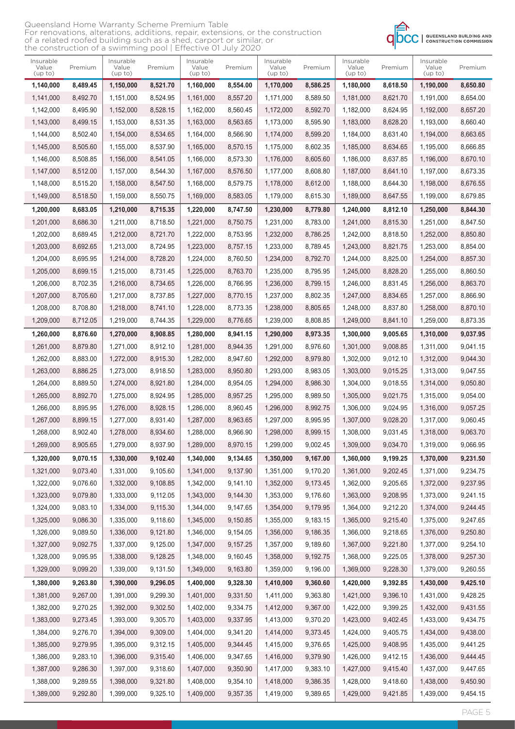| Queensland Home Warranty Scheme Premium Table                                    |
|----------------------------------------------------------------------------------|
| For renovations, alterations, additions, repair, extensions, or the construction |
| of a related roofed building such as a shed, carport or similar, or              |
| the construction of a swimming pool   Effective 01 July 2020                     |



| Insurable<br>Value<br>(up to) | Premium  | Insurable<br>Value<br>(up to) | Premium  | Insurable<br>Value<br>(up to) | Premium  | Insurable<br>Value<br>(up to) | Premium  | Insurable<br>Value<br>(up to) | Premium  | Insurable<br>Value<br>(up to) | Premium  |
|-------------------------------|----------|-------------------------------|----------|-------------------------------|----------|-------------------------------|----------|-------------------------------|----------|-------------------------------|----------|
| 1,140,000                     | 8,489.45 | 1,150,000                     | 8,521.70 | 1,160,000                     | 8,554.00 | 1,170,000                     | 8,586.25 | 1,180,000                     | 8,618.50 | 1,190,000                     | 8,650.80 |
| 1,141,000                     | 8,492.70 | 1,151,000                     | 8,524.95 | 1,161,000                     | 8,557.20 | 1,171,000                     | 8,589.50 | 1,181,000                     | 8,621.70 | 1,191,000                     | 8,654.00 |
| 1.142.000                     | 8,495.90 | 1,152,000                     | 8.528.15 | 1,162,000                     | 8.560.45 | 1,172,000                     | 8,592.70 | 1,182,000                     | 8,624.95 | 1,192,000                     | 8,657.20 |
| 1,143,000                     | 8,499.15 | 1,153,000                     | 8,531.35 | 1,163,000                     | 8,563.65 | 1,173,000                     | 8,595.90 | 1,183,000                     | 8,628.20 | 1,193,000                     | 8,660.40 |
| 1,144,000                     | 8,502.40 | 1,154,000                     | 8,534.65 | 1,164,000                     | 8,566.90 | 1,174,000                     | 8,599.20 | 1,184,000                     | 8,631.40 | 1,194,000                     | 8,663.65 |
| 1,145,000                     | 8,505.60 | 1,155,000                     | 8,537.90 | 1,165,000                     | 8,570.15 | 1,175,000                     | 8,602.35 | 1,185,000                     | 8,634.65 | 1,195,000                     | 8,666.85 |
| 1,146,000                     | 8,508.85 | 1,156,000                     | 8,541.05 | 1.166.000                     | 8,573.30 | 1,176,000                     | 8,605.60 | 1.186.000                     | 8.637.85 | 1,196,000                     | 8,670.10 |
| 1,147,000                     | 8,512.00 | 1,157,000                     | 8,544.30 | 1,167,000                     | 8,576.50 | 1,177,000                     | 8,608.80 | 1,187,000                     | 8,641.10 | 1,197,000                     | 8,673.35 |
| 1,148,000                     | 8,515.20 | 1,158,000                     | 8,547.50 | 1,168,000                     | 8,579.75 | 1,178,000                     | 8,612.00 | 1,188,000                     | 8,644.30 | 1,198,000                     | 8,676.55 |
| 1,149,000                     | 8,518.50 | 1,159,000                     | 8,550.75 | 1,169,000                     | 8,583.05 | 1,179,000                     | 8,615.30 | 1,189,000                     | 8,647.55 | 1,199,000                     | 8,679.85 |
| 1,200,000                     | 8,683.05 | 1,210,000                     | 8,715.35 | 1,220,000                     | 8,747.50 | 1,230,000                     | 8,779.80 | 1,240,000                     | 8,812.10 | 1,250,000                     | 8,844.30 |
| 1,201,000                     | 8,686.30 | 1,211,000                     | 8,718.50 | 1,221,000                     | 8,750.75 | 1,231,000                     | 8,783.00 | 1,241,000                     | 8,815.30 | 1,251,000                     | 8,847.50 |
| 1,202,000                     | 8,689.45 | 1,212,000                     | 8,721.70 | 1,222,000                     | 8,753.95 | 1,232,000                     | 8.786.25 | 1,242,000                     | 8.818.50 | 1,252,000                     | 8,850.80 |
| 1,203,000                     | 8,692.65 | 1,213,000                     | 8,724.95 | 1,223,000                     | 8.757.15 | 1,233,000                     | 8,789.45 | 1,243,000                     | 8,821.75 | 1,253,000                     | 8,854.00 |
| 1,204,000                     | 8,695.95 | 1,214,000                     | 8,728.20 | 1,224,000                     | 8,760.50 | 1,234,000                     | 8,792.70 | 1,244,000                     | 8.825.00 | 1,254,000                     | 8,857.30 |
| 1,205,000                     | 8,699.15 | 1,215,000                     | 8,731.45 | 1,225,000                     | 8,763.70 | 1,235,000                     | 8,795.95 | 1,245,000                     | 8,828.20 | 1,255,000                     | 8,860.50 |
| 1,206,000                     | 8,702.35 | 1,216,000                     | 8,734.65 | 1,226,000                     | 8,766.95 | 1,236,000                     | 8,799.15 | 1,246,000                     | 8,831.45 | 1,256,000                     | 8,863.70 |
| 1,207,000                     | 8,705.60 | 1,217,000                     | 8,737.85 | 1,227,000                     | 8.770.15 | 1,237,000                     | 8,802.35 | 1,247,000                     | 8,834.65 | 1,257,000                     | 8,866.90 |
| 1,208,000                     | 8,708.80 | 1,218,000                     | 8,741.10 | 1,228,000                     | 8,773.35 | 1,238,000                     | 8,805.65 | 1,248,000                     | 8,837.80 | 1,258,000                     | 8,870.10 |
| 1,209,000                     | 8,712.05 | 1,219,000                     | 8,744.35 | 1,229,000                     | 8,776.65 | 1,239,000                     | 8,808.85 | 1,249,000                     | 8,841.10 | 1,259,000                     | 8,873.35 |
| 1,260,000                     | 8,876.60 | 1,270,000                     | 8,908.85 | 1,280,000                     | 8,941.15 | 1,290,000                     | 8,973.35 | 1,300,000                     | 9,005.65 | 1,310,000                     | 9,037.95 |
| 1,261,000                     | 8,879.80 | 1,271,000                     | 8,912.10 | 1,281,000                     | 8,944.35 | 1,291,000                     | 8,976.60 | 1,301,000                     | 9,008.85 | 1,311,000                     | 9,041.15 |
| 1,262,000                     | 8,883.00 | 1,272,000                     | 8,915.30 | 1,282,000                     | 8,947.60 | 1,292,000                     | 8,979.80 | 1,302,000                     | 9,012.10 | 1,312,000                     | 9,044.30 |
| 1,263,000                     | 8,886.25 | 1,273,000                     | 8,918.50 | 1,283,000                     | 8,950.80 | 1,293,000                     | 8,983.05 | 1,303,000                     | 9,015.25 | 1,313,000                     | 9,047.55 |
| 1,264,000                     | 8,889.50 | 1,274,000                     | 8,921.80 | 1,284,000                     | 8,954.05 | 1,294,000                     | 8,986.30 | 1,304,000                     | 9,018.55 | 1,314,000                     | 9,050.80 |
| 1,265,000                     | 8,892.70 | 1,275,000                     | 8,924.95 | 1,285,000                     | 8,957.25 | 1,295,000                     | 8,989.50 | 1,305,000                     | 9,021.75 | 1,315,000                     | 9,054.00 |
| 1,266,000                     | 8,895.95 | 1,276,000                     | 8,928.15 | 1,286,000                     | 8,960.45 | 1,296,000                     | 8,992.75 | 1,306,000                     | 9,024.95 | 1,316,000                     | 9,057.25 |
| 1.267.000                     | 8,899.15 | 1,277,000                     | 8.931.40 | 1,287,000                     | 8,963.65 | 1.297.000                     | 8,995.95 | 1.307.000                     | 9,028.20 | 1,317,000                     | 9.060.45 |
| 1,268,000                     | 8,902.40 | 1,278,000                     | 8,934.60 | 1,288,000                     | 8,966.90 | 1,298,000                     | 8,999.15 | 1,308,000                     | 9.031.45 | 1,318,000                     | 9,063.70 |
| 1,269,000                     | 8,905.65 | 1,279,000                     | 8,937.90 | 1,289,000                     | 8,970.15 | 1,299,000                     | 9,002.45 | 1,309,000                     | 9,034.70 | 1,319,000                     | 9,066.95 |
| 1,320,000                     | 9,070.15 | 1,330,000                     | 9,102.40 | 1,340,000                     | 9,134.65 | 1,350,000                     | 9,167.00 | 1,360,000                     | 9,199.25 | 1,370,000                     | 9,231.50 |
| 1,321,000                     | 9,073.40 | 1,331,000                     | 9,105.60 | 1,341,000                     | 9,137.90 | 1,351,000                     | 9,170.20 | 1,361,000                     | 9,202.45 | 1,371,000                     | 9,234.75 |
| 1,322,000                     | 9,076.60 | 1,332,000                     | 9,108.85 | 1,342,000                     | 9,141.10 | 1,352,000                     | 9,173.45 | 1,362,000                     | 9,205.65 | 1,372,000                     | 9,237.95 |
| 1,323,000                     | 9,079.80 | 1,333,000                     | 9,112.05 | 1,343,000                     | 9,144.30 | 1,353,000                     | 9,176.60 | 1,363,000                     | 9,208.95 | 1,373,000                     | 9,241.15 |
| 1,324,000                     | 9,083.10 | 1,334,000                     | 9,115.30 | 1,344,000                     | 9,147.65 | 1,354,000                     | 9,179.95 | 1,364,000                     | 9,212.20 | 1,374,000                     | 9,244.45 |
| 1,325,000                     | 9,086.30 | 1,335,000                     | 9,118.60 | 1,345,000                     | 9,150.85 | 1,355,000                     | 9,183.15 | 1,365,000                     | 9,215.40 | 1,375,000                     | 9,247.65 |
| 1,326,000                     | 9,089.50 | 1,336,000                     | 9,121.80 | 1,346,000                     | 9,154.05 | 1,356,000                     | 9,186.35 | 1,366,000                     | 9,218.65 | 1,376,000                     | 9,250.80 |
| 1,327,000                     | 9,092.75 | 1,337,000                     | 9,125.00 | 1,347,000                     | 9,157.25 | 1,357,000                     | 9,189.60 | 1,367,000                     | 9,221.80 | 1,377,000                     | 9,254.10 |
| 1,328,000                     | 9,095.95 | 1,338,000                     | 9,128.25 | 1,348,000                     | 9,160.45 | 1,358,000                     | 9,192.75 | 1,368,000                     | 9,225.05 | 1,378,000                     | 9,257.30 |
| 1,329,000                     | 9,099.20 | 1,339,000                     | 9,131.50 | 1,349,000                     | 9,163.80 | 1,359,000                     | 9,196.00 | 1,369,000                     | 9,228.30 | 1,379,000                     | 9,260.55 |
| 1,380,000                     | 9,263.80 | 1,390,000                     | 9,296.05 | 1,400,000                     | 9,328.30 | 1,410,000                     | 9,360.60 | 1,420,000                     | 9,392.85 | 1,430,000                     | 9,425.10 |
| 1,381,000                     | 9,267.00 | 1,391,000                     | 9,299.30 | 1,401,000                     | 9,331.50 | 1,411,000                     | 9,363.80 | 1,421,000                     | 9,396.10 | 1,431,000                     | 9,428.25 |
| 1,382,000                     | 9,270.25 | 1,392,000                     | 9,302.50 | 1,402,000                     | 9,334.75 | 1,412,000                     | 9,367.00 | 1,422,000                     | 9,399.25 | 1,432,000                     | 9,431.55 |
| 1,383,000                     | 9,273.45 | 1,393,000                     | 9,305.70 | 1,403,000                     | 9,337.95 | 1,413,000                     | 9,370.20 | 1,423,000                     | 9,402.45 | 1,433,000                     | 9,434.75 |
| 1,384,000                     | 9,276.70 | 1,394,000                     | 9,309.00 | 1,404,000                     | 9,341.20 | 1,414,000                     | 9,373.45 | 1,424,000                     | 9,405.75 | 1,434,000                     | 9,438.00 |
| 1,385,000                     | 9,279.95 | 1,395,000                     | 9,312.15 | 1,405,000                     | 9,344.45 | 1,415,000                     | 9,376.65 | 1,425,000                     | 9,408.95 | 1,435,000                     | 9,441.25 |
| 1,386,000                     | 9,283.10 | 1,396,000                     | 9,315.40 | 1,406,000                     | 9,347.65 | 1,416,000                     | 9,379.90 | 1,426,000                     | 9,412.15 | 1,436,000                     | 9,444.45 |
| 1,387,000                     | 9,286.30 | 1,397,000                     | 9,318.60 | 1,407,000                     | 9,350.90 | 1,417,000                     | 9,383.10 | 1,427,000                     | 9,415.40 | 1,437,000                     | 9,447.65 |
| 1,388,000                     | 9,289.55 | 1,398,000                     | 9,321.80 | 1,408,000                     | 9,354.10 | 1,418,000                     | 9,386.35 | 1,428,000                     | 9,418.60 | 1,438,000                     | 9,450.90 |
| 1,389,000                     | 9,292.80 | 1,399,000                     | 9,325.10 | 1,409,000                     | 9,357.35 | 1,419,000                     | 9,389.65 | 1,429,000                     | 9,421.85 | 1,439,000                     | 9,454.15 |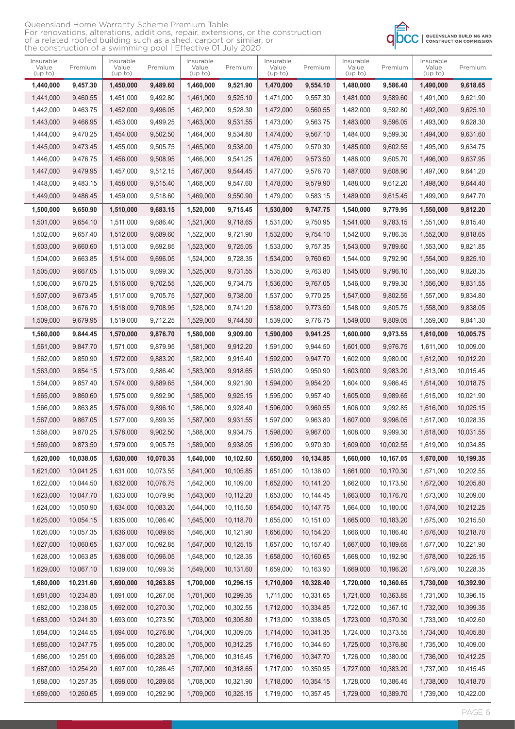## Queensland Home Warranty Scheme Premium Table For renovations, alterations, additions, repair, extensions, or the construction of a related roofed building such as a shed, carport or similar, or the construction of a swimming pool | Effective 01 July 2020



| Insurable<br>Value<br>(up to) | Premium   | Insurable<br>Value<br>(up to) | Premium   | Insurable<br>Value<br>(up to) | Premium   | Insurable<br>Value<br>(up to) | Premium   | Insurable<br>Value<br>(up to) | Premium   | Insurable<br>Value<br>(up to) | Premium   |
|-------------------------------|-----------|-------------------------------|-----------|-------------------------------|-----------|-------------------------------|-----------|-------------------------------|-----------|-------------------------------|-----------|
| 1,440,000                     | 9,457.30  | 1,450,000                     | 9,489.60  | 1,460,000                     | 9,521.90  | 1,470,000                     | 9,554.10  | 1,480,000                     | 9,586.40  | 1,490,000                     | 9,618.65  |
| 1,441,000                     | 9,460.55  | 1,451,000                     | 9,492.80  | 1,461,000                     | 9,525.10  | 1,471,000                     | 9,557.30  | 1,481,000                     | 9,589.60  | 1,491,000                     | 9,621.90  |
| 1,442,000                     | 9,463.75  | 1,452,000                     | 9,496.05  | 1,462,000                     | 9,528.30  | 1,472,000                     | 9,560.55  | 1,482,000                     | 9.592.80  | 1,492,000                     | 9,625.10  |
| 1,443,000                     | 9,466.95  | 1,453,000                     | 9,499.25  | 1,463,000                     | 9,531.55  | 1,473,000                     | 9,563.75  | 1,483,000                     | 9,596.05  | 1,493,000                     | 9,628.30  |
| 1,444,000                     | 9,470.25  | 1,454,000                     | 9,502.50  | 1,464,000                     | 9,534.80  | 1,474,000                     | 9,567.10  | 1,484,000                     | 9,599.30  | 1,494,000                     | 9,631.60  |
| 1,445,000                     | 9,473.45  | 1,455,000                     | 9,505.75  | 1,465,000                     | 9,538.00  | 1,475,000                     | 9.570.30  | 1,485,000                     | 9,602.55  | 1,495,000                     | 9,634.75  |
| 1,446,000                     | 9,476.75  | 1,456,000                     | 9,508.95  | 1,466,000                     | 9,541.25  | 1,476,000                     | 9,573.50  | 1,486,000                     | 9.605.70  | 1,496,000                     | 9,637.95  |
| 1,447,000                     | 9,479.95  | 1,457,000                     | 9,512.15  | 1,467,000                     | 9,544.45  | 1,477,000                     | 9,576.70  | 1,487,000                     | 9,608.90  | 1,497,000                     | 9,641.20  |
| 1,448,000                     | 9,483.15  | 1,458,000                     | 9,515.40  | 1,468,000                     | 9,547.60  | 1,478,000                     | 9,579.90  | 1,488,000                     | 9,612.20  | 1,498,000                     | 9,644.40  |
| 1,449,000                     | 9,486.45  | 1,459,000                     | 9,518.60  | 1,469,000                     | 9,550.90  | 1,479,000                     | 9,583.15  | 1,489,000                     | 9,615.45  | 1,499,000                     | 9,647.70  |
| 1,500,000                     | 9,650.90  | 1,510,000                     | 9,683.15  | 1,520,000                     | 9,715.45  | 1,530,000                     | 9,747.75  | 1,540,000                     | 9,779.95  | 1,550,000                     | 9,812.20  |
| 1,501,000                     | 9,654.10  | 1,511,000                     | 9,686.40  | 1,521,000                     | 9.718.65  | 1,531,000                     | 9,750.95  | 1,541,000                     | 9,783.15  | 1,551,000                     | 9,815.40  |
| 1,502,000                     | 9,657.40  | 1,512,000                     | 9,689.60  | 1,522,000                     | 9,721.90  | 1,532,000                     | 9,754.10  | 1,542,000                     | 9,786.35  | 1,552,000                     | 9,818.65  |
| 1,503,000                     | 9.660.60  | 1,513,000                     | 9,692.85  | 1,523,000                     | 9,725.05  | 1,533,000                     | 9.757.35  | 1,543,000                     | 9,789.60  | 1,553,000                     | 9,821.85  |
| 1,504,000                     | 9,663.85  | 1,514,000                     | 9,696.05  | 1,524,000                     | 9,728.35  | 1,534,000                     | 9,760.60  | 1,544,000                     | 9,792.90  | 1,554,000                     | 9,825.10  |
| 1,505,000                     | 9,667.05  | 1,515,000                     | 9,699.30  | 1,525,000                     | 9,731.55  | 1,535,000                     | 9,763.80  | 1,545,000                     | 9,796.10  | 1,555,000                     | 9,828.35  |
| 1,506,000                     | 9,670.25  | 1,516,000                     | 9,702.55  | 1,526,000                     | 9,734.75  | 1,536,000                     | 9,767.05  | 1,546,000                     | 9,799.30  | 1,556,000                     | 9,831.55  |
| 1,507,000                     | 9,673.45  | 1,517,000                     | 9,705.75  | 1,527,000                     | 9.738.00  | 1,537,000                     | 9.770.25  | 1,547,000                     | 9.802.55  | 1,557,000                     | 9,834.80  |
| 1,508,000                     | 9,676.70  | 1,518,000                     | 9,708.95  | 1,528,000                     | 9,741.20  | 1,538,000                     | 9,773.50  | 1,548,000                     | 9,805.75  | 1,558,000                     | 9,838.05  |
| 1,509,000                     | 9,679.95  | 1,519,000                     | 9,712.25  | 1,529,000                     | 9,744.50  | 1,539,000                     | 9,776.75  | 1,549,000                     | 9,809.05  | 1,559,000                     | 9,841.30  |
| 1,560,000                     | 9,844.45  | 1,570,000                     | 9,876.70  | 1,580,000                     | 9,909.00  | 1,590,000                     | 9,941.25  | 1,600,000                     | 9,973.55  | 1,610,000                     | 10,005.75 |
| 1,561,000                     | 9,847.70  | 1,571,000                     | 9,879.95  | 1,581,000                     | 9,912.20  | 1,591,000                     | 9,944.50  | 1,601,000                     | 9,976.75  | 1,611,000                     | 10,009.00 |
| 1,562,000                     | 9,850.90  | 1,572,000                     | 9,883.20  | 1,582,000                     | 9,915.40  | 1,592,000                     | 9,947.70  | 1,602,000                     | 9,980.00  | 1,612,000                     | 10,012.20 |
| 1,563,000                     | 9,854.15  | 1,573,000                     | 9,886.40  | 1,583,000                     | 9,918.65  | 1,593,000                     | 9,950.90  | 1,603,000                     | 9,983.20  | 1,613,000                     | 10,015.45 |
| 1,564,000                     | 9,857.40  | 1,574,000                     | 9,889.65  | 1,584,000                     | 9,921.90  | 1,594,000                     | 9,954.20  | 1,604,000                     | 9,986.45  | 1,614,000                     | 10,018.75 |
| 1,565,000                     | 9,860.60  | 1.575.000                     | 9,892.90  | 1,585,000                     | 9,925.15  | 1,595,000                     | 9,957.40  | 1,605,000                     | 9,989.65  | 1,615,000                     | 10,021.90 |
| 1,566,000                     | 9,863.85  | 1,576,000                     | 9,896.10  | 1,586,000                     | 9,928.40  | 1,596,000                     | 9,960.55  | 1,606,000                     | 9,992.85  | 1,616,000                     | 10,025.15 |
| 1,567,000                     | 9,867.05  | 1,577,000                     | 9,899.35  | 1,587,000                     | 9,931.55  | 1,597,000                     | 9,963.80  | 1,607,000                     | 9,996.05  | 1,617,000                     | 10,028.35 |
| 1,568,000                     | 9,870.25  | 1,578,000                     | 9,902.50  | 1,588,000                     | 9,934.75  | 1,598,000                     | 9,967.00  | 1,608,000                     | 9,999.30  | 1,618,000                     | 10,031.55 |
| 1,569,000                     | 9,873.50  | 1,579,000                     | 9,905.75  | 1,589,000                     | 9,938.05  | 1,599,000                     | 9,970.30  | 1,609,000                     | 10,002.55 | 1,619,000                     | 10,034.85 |
| 1,620,000                     | 10,038.05 | 1,630,000                     | 10,070.35 | 1,640,000                     | 10,102.60 | 1,650,000                     | 10,134.85 | 1,660,000                     | 10,167.05 | 1,670,000                     | 10,199.35 |
| 1,621,000                     | 10,041.25 | 1,631,000                     | 10,073.55 | 1,641,000                     | 10,105.85 | 1,651,000                     | 10,138.00 | 1,661,000                     | 10,170.30 | 1,671,000                     | 10,202.55 |
| 1,622,000                     | 10,044.50 | 1,632,000                     | 10,076.75 | 1,642,000                     | 10,109.00 | 1,652,000                     | 10,141.20 | 1,662,000                     | 10,173.50 | 1,672,000                     | 10,205.80 |
| 1,623,000                     | 10,047.70 | 1,633,000                     | 10,079.95 | 1,643,000                     | 10,112.20 | 1,653,000                     | 10,144.45 | 1,663,000                     | 10,176.70 | 1,673,000                     | 10,209.00 |
| 1,624,000                     | 10,050.90 | 1,634,000                     | 10,083.20 | 1,644,000                     | 10,115.50 | 1,654,000                     | 10,147.75 | 1,664,000                     | 10,180.00 | 1,674,000                     | 10,212.25 |
| 1,625,000                     | 10,054.15 | 1,635,000                     | 10,086.40 | 1,645,000                     | 10,118.70 | 1,655,000                     | 10,151.00 | 1,665,000                     | 10,183.20 | 1,675,000                     | 10,215.50 |
| 1,626,000                     | 10,057.35 | 1,636,000                     | 10,089.65 | 1,646,000                     | 10,121.90 | 1,656,000                     | 10,154.20 | 1,666,000                     | 10,186.40 | 1,676,000                     | 10,218.70 |
| 1,627,000                     | 10,060.65 | 1,637,000                     | 10,092.85 | 1,647,000                     | 10,125.15 | 1,657,000                     | 10,157.40 | 1,667,000                     | 10,189.65 | 1,677,000                     | 10,221.90 |
| 1,628,000                     | 10,063.85 | 1,638,000                     | 10,096.05 | 1,648,000                     | 10,128.35 | 1,658,000                     | 10,160.65 | 1,668,000                     | 10,192.90 | 1,678,000                     | 10,225.15 |
| 1,629,000                     | 10,067.10 | 1,639,000                     | 10,099.35 | 1,649,000                     | 10,131.60 | 1,659,000                     | 10,163.90 | 1,669,000                     | 10,196.20 | 1,679,000                     | 10,228.35 |
| 1,680,000                     | 10,231.60 | 1,690,000                     | 10,263.85 | 1,700,000                     | 10,296.15 | 1,710,000                     | 10,328.40 | 1,720,000                     | 10,360.65 | 1,730,000                     | 10,392.90 |
| 1,681,000                     | 10,234.80 | 1,691,000                     | 10,267.05 | 1,701,000                     | 10,299.35 | 1,711,000                     | 10,331.65 | 1,721,000                     | 10,363.85 | 1,731,000                     | 10,396.15 |
| 1,682,000                     | 10,238.05 | 1,692,000                     | 10,270.30 | 1,702,000                     | 10,302.55 | 1,712,000                     | 10,334.85 | 1,722,000                     | 10,367.10 | 1,732,000                     | 10,399.35 |
| 1,683,000                     | 10,241.30 | 1,693,000                     | 10,273.50 | 1,703,000                     | 10,305.80 | 1,713,000                     | 10,338.05 | 1,723,000                     | 10,370.30 | 1,733,000                     | 10,402.60 |
| 1,684,000                     | 10,244.55 | 1,694,000                     | 10,276.80 | 1,704,000                     | 10,309.05 | 1,714,000                     | 10,341.35 | 1,724,000                     | 10,373.55 | 1,734,000                     | 10,405.80 |
| 1,685,000                     | 10,247.75 | 1,695,000                     | 10,280.00 | 1,705,000                     | 10,312.25 | 1,715,000                     | 10,344.50 | 1,725,000                     | 10,376.80 | 1,735,000                     | 10,409.00 |
| 1,686,000                     | 10,251.00 | 1,696,000                     | 10,283.25 | 1,706,000                     | 10,315.45 | 1,716,000                     | 10,347.70 | 1,726,000                     | 10,380.00 | 1,736,000                     | 10,412.25 |
| 1,687,000                     | 10,254.20 | 1,697,000                     | 10,286.45 | 1,707,000                     | 10,318.65 | 1,717,000                     | 10,350.95 | 1,727,000                     | 10,383.20 | 1,737,000                     | 10,415.45 |
| 1,688,000                     | 10,257.35 | 1,698,000                     | 10,289.65 | 1,708,000                     | 10,321.90 | 1,718,000                     | 10,354.15 | 1,728,000                     | 10,386.45 | 1,738,000                     | 10,418.70 |
| 1,689,000                     | 10,260.65 | 1,699,000                     | 10,292.90 | 1,709,000                     | 10,325.15 | 1,719,000                     | 10,357.45 | 1,729,000                     | 10,389.70 | 1,739,000                     | 10,422.00 |
|                               |           |                               |           |                               |           |                               |           |                               |           |                               |           |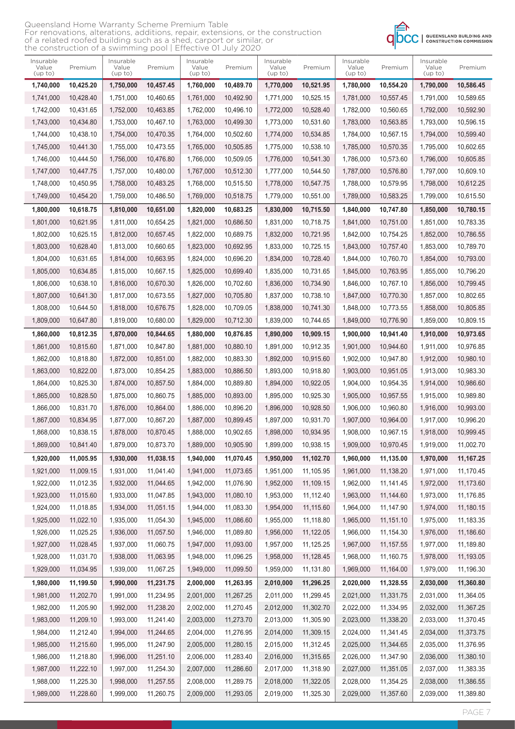| Queensland Home Warranty Scheme Premium Table                                    |
|----------------------------------------------------------------------------------|
| For renovations, alterations, additions, repair, extensions, or the construction |
| of a related roofed building such as a shed, carport or similar, or              |
| the construction of a swimming pool   Effective 01 July 2020                     |



| Insurable<br>Value<br>(up to) | Premium   | Insurable<br>Value<br>(up to) | Premium   | Insurable<br>Value<br>(up to) | Premium   | Insurable<br>Value<br>(up to) | Premium   | Insurable<br>Value<br>(up to) | Premium    | Insurable<br>Value<br>(up to) | Premium   |
|-------------------------------|-----------|-------------------------------|-----------|-------------------------------|-----------|-------------------------------|-----------|-------------------------------|------------|-------------------------------|-----------|
| 1,740,000                     | 10,425.20 | 1,750,000                     | 10,457.45 | 1,760,000                     | 10.489.70 | 1,770,000                     | 10,521.95 | 1,780,000                     | 10,554.20  | 1,790,000                     | 10,586.45 |
| 1.741.000                     | 10,428.40 | 1,751,000                     | 10.460.65 | 1,761,000                     | 10.492.90 | 1,771,000                     | 10.525.15 | 1,781,000                     | 10,557.45  | 1,791,000                     | 10,589.65 |
| 1,742,000                     | 10,431.65 | 1,752,000                     | 10,463.85 | 1,762,000                     | 10,496.10 | 1,772,000                     | 10,528.40 | 1,782,000                     | 10,560.65  | 1,792,000                     | 10,592.90 |
| 1,743,000                     | 10,434.80 | 1,753,000                     | 10,467.10 | 1,763,000                     | 10,499.30 | 1,773,000                     | 10,531.60 | 1,783,000                     | 10,563.85  | 1,793,000                     | 10,596.15 |
| 1,744,000                     | 10,438.10 | 1,754,000                     | 10,470.35 | 1,764,000                     | 10,502.60 | 1,774,000                     | 10,534.85 | 1,784,000                     | 10,567.15  | 1,794,000                     | 10,599.40 |
| 1,745,000                     | 10,441.30 | 1,755,000                     | 10,473.55 | 1,765,000                     | 10,505.85 | 1,775,000                     | 10,538.10 | 1,785,000                     | 10,570.35  | 1,795,000                     | 10,602.65 |
| 1,746,000                     | 10,444.50 | 1,756,000                     | 10,476.80 | 1,766,000                     | 10.509.05 | 1,776,000                     | 10,541.30 | 1,786,000                     | 10,573.60  | 1,796,000                     | 10,605.85 |
| 1,747,000                     | 10,447.75 | 1,757,000                     | 10,480.00 | 1,767,000                     | 10,512.30 | 1,777,000                     | 10,544.50 | 1,787,000                     | 10,576.80  | 1,797,000                     | 10,609.10 |
| 1,748,000                     | 10,450.95 | 1,758,000                     | 10,483.25 | 1,768,000                     | 10,515.50 | 1,778,000                     | 10,547.75 | 1,788,000                     | 10,579.95  | 1,798,000                     | 10,612.25 |
| 1,749,000                     | 10,454.20 | 1,759,000                     | 10,486.50 | 1,769,000                     | 10,518.75 | 1,779,000                     | 10,551.00 | 1,789,000                     | 10,583.25  | 1,799,000                     | 10,615.50 |
| 1,800,000                     | 10,618.75 | 1,810,000                     | 10,651.00 | 1,820,000                     | 10,683.25 | 1,830,000                     | 10,715.50 | 1,840,000                     | 10,747.80  | 1,850,000                     | 10,780.15 |
| 1,801,000                     | 10,621.95 | 1,811,000                     | 10.654.25 | 1,821,000                     | 10.686.50 | 1,831,000                     | 10.718.75 | 1,841,000                     | 10,751.00  | 1,851,000                     | 10,783.35 |
| 1,802,000                     | 10,625.15 | 1,812,000                     | 10,657.45 | 1,822,000                     | 10,689.75 | 1,832,000                     | 10,721.95 | 1.842.000                     | 10.754.25  | 1,852,000                     | 10,786.55 |
| 1,803,000                     | 10,628.40 | 1,813,000                     | 10,660.65 | 1,823,000                     | 10,692.95 | 1,833,000                     | 10,725.15 | 1,843,000                     | 10,757.40  | 1,853,000                     | 10,789.70 |
| 1,804,000                     | 10,631.65 | 1,814,000                     | 10,663.95 | 1,824,000                     | 10,696.20 | 1,834,000                     | 10,728.40 | 1,844,000                     | 10.760.70  | 1,854,000                     | 10,793.00 |
| 1,805,000                     | 10,634.85 | 1,815,000                     | 10,667.15 | 1,825,000                     | 10,699.40 | 1,835,000                     | 10,731.65 | 1,845,000                     | 10,763.95  | 1,855,000                     | 10,796.20 |
| 1,806,000                     | 10,638.10 | 1,816,000                     | 10,670.30 | 1,826,000                     | 10,702.60 | 1,836,000                     | 10,734.90 | 1,846,000                     | 10,767.10  | 1,856,000                     | 10,799.45 |
| 1,807,000                     | 10,641.30 | 1,817,000                     | 10,673.55 | 1,827,000                     | 10,705.80 | 1,837,000                     | 10,738.10 | 1,847,000                     | 10,770.30  | 1,857,000                     | 10,802.65 |
| 1,808,000                     | 10,644.50 | 1,818,000                     | 10,676.75 | 1,828,000                     | 10,709.05 | 1,838,000                     | 10,741.30 | 1,848,000                     | 10,773.55  | 1,858,000                     | 10,805.85 |
| 1,809,000                     | 10,647.80 | 1,819,000                     | 10,680.00 | 1,829,000                     | 10,712.30 | 1,839,000                     | 10,744.65 | 1,849,000                     | 10,776.90  | 1,859,000                     | 10,809.15 |
|                               |           |                               |           |                               |           |                               |           |                               |            |                               |           |
| 1,860,000                     | 10,812.35 | 1,870,000                     | 10,844.65 | 1,880,000                     | 10,876.85 | 1,890,000                     | 10,909.15 | 1,900,000                     | 10,941.40  | 1,910,000                     | 10,973.65 |
| 1,861,000                     | 10,815.60 | 1,871,000                     | 10,847.80 | 1,881,000                     | 10,880.10 | 1,891,000                     | 10,912.35 | 1,901,000                     | 10,944.60  | 1,911,000                     | 10,976.85 |
| 1,862,000                     | 10,818.80 | 1,872,000                     | 10,851.00 | 1,882,000                     | 10,883.30 | 1,892,000                     | 10,915.60 | 1,902,000                     | 10,947.80  | 1,912,000                     | 10,980.10 |
| 1,863,000                     | 10,822.00 | 1,873,000                     | 10,854.25 | 1,883,000                     | 10,886.50 | 1,893,000                     | 10,918.80 | 1,903,000                     | 10,951.05  | 1,913,000                     | 10,983.30 |
| 1,864,000                     | 10,825.30 | 1,874,000                     | 10,857.50 | 1,884,000                     | 10,889.80 | 1,894,000                     | 10,922.05 | 1,904,000                     | 10,954.35  | 1,914,000                     | 10,986.60 |
| 1,865,000                     | 10,828.50 | 1,875,000                     | 10,860.75 | 1,885,000                     | 10,893.00 | 1,895,000                     | 10,925.30 | 1,905,000                     | 10,957.55  | 1,915,000                     | 10,989.80 |
| 1,866,000                     | 10.831.70 | 1,876,000                     | 10,864.00 | 1,886,000                     | 10,896.20 | 1,896,000                     | 10,928.50 | 1,906,000                     | 10.960.80  | 1,916,000                     | 10,993.00 |
| 1,867,000                     | 10,834.95 | 1,877,000                     | 10,867.20 | 1,887,000                     | 10.899.45 | 1,897,000                     | 10,931.70 | 1,907,000                     | 10,964.00  | 1,917,000                     | 10,996.20 |
| 1,868,000                     | 10,838.15 | 1,878,000                     | 10,870.45 | 1,888,000                     | 10,902.65 | 1,898,000                     | 10,934.95 | 1,908,000                     | 10,967.15  | 1,918,000                     | 10,999.45 |
| 1,869,000                     | 10,841.40 | 1,879,000                     | 10,873.70 | 1,889,000                     | 10,905.90 | 1,899,000                     | 10,938.15 | 1,909,000                     | 10,970.45  | 1,919,000                     | 11,002.70 |
| 1,920,000                     | 11,005.95 | 1,930,000                     | 11,038.15 | 1,940,000                     | 11,070.45 | 1,950,000                     | 11,102.70 | 1,960,000                     | 11,135.00  | 1,970,000                     | 11,167.25 |
| 1,921,000                     | 11,009.15 | 1,931,000                     | 11,041.40 | 1,941,000                     | 11,073.65 | 1,951,000                     | 11,105.95 | 1,961,000                     | 11,138.20  | 1,971,000                     | 11,170.45 |
| 1,922,000                     | 11,012.35 | 1,932,000                     | 11,044.65 | 1,942,000                     | 11,076.90 | 1,952,000                     | 11,109.15 | 1,962,000                     | 11,141.45  | 1,972,000                     | 11,173.60 |
| 1,923,000                     | 11,015.60 | 1,933,000                     | 11,047.85 | 1,943,000                     | 11,080.10 | 1,953,000                     | 11,112.40 | 1,963,000                     | 11,144.60  | 1,973,000                     | 11,176.85 |
| 1,924,000                     | 11,018.85 | 1,934,000                     | 11,051.15 | 1,944,000                     | 11,083.30 | 1,954,000                     | 11,115.60 | 1,964,000                     | 11,147.90  | 1,974,000                     | 11,180.15 |
| 1,925,000                     | 11,022.10 | 1,935,000                     | 11,054.30 | 1,945,000                     | 11,086.60 | 1,955,000                     | 11,118.80 | 1,965,000                     | 11,151.10  | 1,975,000                     | 11,183.35 |
| 1,926,000                     | 11,025.25 | 1,936,000                     | 11,057.50 | 1,946,000                     | 11,089.80 | 1,956,000                     | 11,122.05 | 1,966,000                     | 11,154.30  | 1,976,000                     | 11,186.60 |
| 1,927,000                     | 11,028.45 | 1,937,000                     | 11,060.75 | 1,947,000                     | 11,093.00 | 1,957,000                     | 11,125.25 | 1,967,000                     | 11, 157.55 | 1,977,000                     | 11,189.80 |
| 1,928,000                     | 11,031.70 | 1,938,000                     | 11,063.95 | 1,948,000                     | 11,096.25 | 1,958,000                     | 11,128.45 | 1,968,000                     | 11,160.75  | 1,978,000                     | 11,193.05 |
| 1,929,000                     | 11,034.95 | 1,939,000                     | 11,067.25 | 1,949,000                     | 11,099.50 | 1,959,000                     | 11,131.80 | 1,969,000                     | 11,164.00  | 1,979,000                     | 11,196.30 |
| 1,980,000                     | 11,199.50 | 1,990,000                     | 11,231.75 | 2,000,000                     | 11,263.95 | 2,010,000                     | 11,296.25 | 2,020,000                     | 11,328.55  | 2,030,000                     | 11,360.80 |
| 1,981,000                     | 11,202.70 | 1,991,000                     | 11,234.95 | 2,001,000                     | 11,267.25 | 2,011,000                     | 11,299.45 | 2,021,000                     | 11,331.75  | 2,031,000                     | 11,364.05 |
| 1,982,000                     | 11,205.90 | 1,992,000                     | 11,238.20 | 2,002,000                     | 11,270.45 | 2,012,000                     | 11,302.70 | 2,022,000                     | 11,334.95  | 2,032,000                     | 11,367.25 |
| 1,983,000                     | 11,209.10 | 1,993,000                     | 11,241.40 | 2,003,000                     | 11,273.70 | 2,013,000                     | 11,305.90 | 2,023,000                     | 11,338.20  | 2,033,000                     | 11,370.45 |
| 1,984,000                     | 11,212.40 | 1,994,000                     | 11,244.65 | 2,004,000                     | 11,276.95 | 2,014,000                     | 11,309.15 | 2,024,000                     | 11,341.45  | 2,034,000                     | 11,373.75 |
| 1,985,000                     | 11,215.60 | 1,995,000                     | 11,247.90 | 2,005,000                     | 11,280.15 | 2,015,000                     | 11,312.45 | 2,025,000                     | 11,344.65  | 2,035,000                     | 11,376.95 |
| 1,986,000                     | 11,218.80 | 1,996,000                     | 11,251.10 | 2,006,000                     | 11,283.40 | 2,016,000                     | 11,315.65 | 2,026,000                     | 11,347.90  | 2,036,000                     | 11,380.10 |
| 1,987,000                     | 11,222.10 | 1,997,000                     | 11,254.30 | 2,007,000                     | 11,286.60 | 2,017,000                     | 11,318.90 | 2,027,000                     | 11,351.05  | 2,037,000                     | 11,383.35 |
| 1,988,000                     | 11,225.30 | 1,998,000                     | 11,257.55 | 2,008,000                     | 11,289.75 | 2,018,000                     | 11,322.05 | 2,028,000                     | 11,354.25  | 2,038,000                     | 11,386.55 |
| 1,989,000                     | 11,228.60 | 1,999,000                     | 11,260.75 | 2,009,000                     | 11,293.05 | 2,019,000                     | 11,325.30 | 2,029,000                     | 11,357.60  | 2,039,000                     | 11,389.80 |
|                               |           |                               |           |                               |           |                               |           |                               |            |                               |           |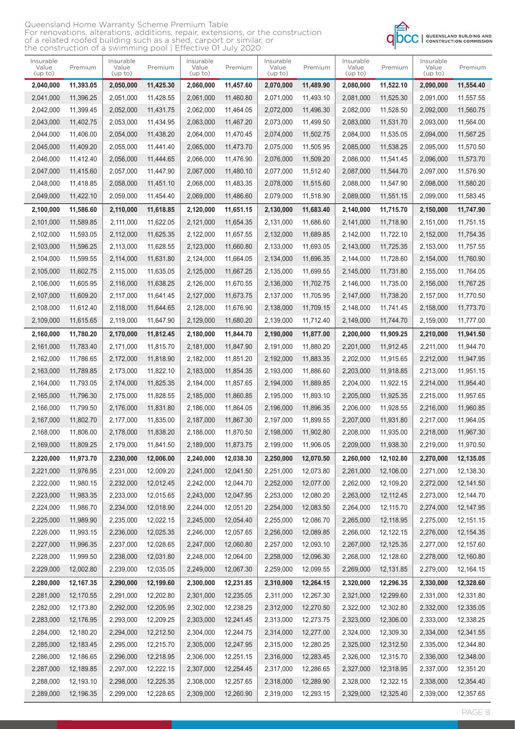| Queensland Home Warranty Scheme Premium Table                                    |
|----------------------------------------------------------------------------------|
| For renovations, alterations, additions, repair, extensions, or the construction |
| of a related roofed building such as a shed, carport or similar, or              |
| the construction of a swimming pool   Effective 01 July 2020                     |



| Insurable<br>Value<br>(up to) | Premium   | Insurable<br>Value<br>(up to) | Premium   | Insurable<br>Value<br>(up to) | Premium   | Insurable<br>Value<br>(up to) | Premium   | Insurable<br>Value<br>(up to) | Premium   | Insurable<br>Value<br>(up to) | Premium   |
|-------------------------------|-----------|-------------------------------|-----------|-------------------------------|-----------|-------------------------------|-----------|-------------------------------|-----------|-------------------------------|-----------|
| 2,040,000                     | 11,393.05 | 2,050,000                     | 11,425.30 | 2,060,000                     | 11,457.60 | 2,070,000                     | 11,489.90 | 2,080,000                     | 11,522.10 | 2,090,000                     | 11,554.40 |
| 2,041,000                     | 11,396.25 | 2,051,000                     | 11,428.55 | 2,061,000                     | 11,460.80 | 2,071,000                     | 11,493.10 | 2,081,000                     | 11,525.30 | 2,091,000                     | 11,557.55 |
| 2,042,000                     | 11,399.45 | 2,052,000                     | 11,431.75 | 2,062,000                     | 11,464.05 | 2,072,000                     | 11,496.30 | 2,082,000                     | 11,528.50 | 2,092,000                     | 11,560.75 |
| 2,043,000                     | 11,402.75 | 2,053,000                     | 11,434.95 | 2,063,000                     | 11,467.20 | 2,073,000                     | 11,499.50 | 2,083,000                     | 11,531.70 | 2,093,000                     | 11,564.00 |
| 2,044,000                     | 11,406.00 | 2,054,000                     | 11,438.20 | 2,064,000                     | 11,470.45 | 2,074,000                     | 11,502.75 | 2,084,000                     | 11,535.05 | 2,094,000                     | 11,567.25 |
| 2,045,000                     | 11,409.20 | 2,055,000                     | 11.441.40 | 2,065,000                     | 11,473.70 | 2,075,000                     | 11,505.95 | 2,085,000                     | 11,538.25 | 2,095,000                     | 11,570.50 |
| 2,046,000                     | 11,412.40 | 2,056,000                     | 11,444.65 | 2,066,000                     | 11,476.90 | 2,076,000                     | 11,509.20 | 2,086,000                     | 11,541.45 | 2,096,000                     | 11,573.70 |
| 2,047,000                     | 11,415.60 | 2,057,000                     | 11,447.90 | 2,067,000                     | 11,480.10 | 2,077,000                     | 11,512.40 | 2,087,000                     | 11,544.70 | 2,097,000                     | 11,576.90 |
| 2,048,000                     | 11,418.85 | 2,058,000                     | 11,451.10 | 2,068,000                     | 11,483.35 | 2,078,000                     | 11,515.60 | 2,088,000                     | 11,547.90 | 2,098,000                     | 11,580.20 |
| 2,049,000                     | 11,422.10 | 2,059,000                     | 11,454.40 | 2,069,000                     | 11,486.60 | 2,079,000                     | 11,518.90 | 2,089,000                     | 11,551.15 | 2,099,000                     | 11,583.45 |
| 2,100,000                     | 11,586.60 | 2,110,000                     | 11,618.85 | 2,120,000                     | 11,651.15 | 2,130,000                     | 11,683.40 | 2,140,000                     | 11,715.70 | 2,150,000                     | 11,747.90 |
| 2,101,000                     | 11,589.85 | 2,111,000                     | 11,622.05 | 2,121,000                     | 11,654.35 | 2,131,000                     | 11,686.60 | 2,141,000                     | 11,718.90 | 2,151,000                     | 11,751.15 |
| 2,102,000                     | 11,593.05 | 2,112,000                     | 11,625.35 | 2,122,000                     | 11,657.55 | 2,132,000                     | 11,689.85 | 2,142,000                     | 11,722.10 | 2,152,000                     | 11,754.35 |
| 2,103,000                     | 11,596.25 | 2,113,000                     | 11,628.55 | 2,123,000                     | 11.660.80 | 2,133,000                     | 11,693.05 | 2,143,000                     | 11,725.35 | 2,153,000                     | 11,757.55 |
| 2,104,000                     | 11,599.55 | 2,114,000                     | 11,631.80 | 2,124,000                     | 11,664.05 | 2,134,000                     | 11,696.35 | 2,144,000                     | 11,728.60 | 2,154,000                     | 11,760.90 |
| 2,105,000                     | 11,602.75 | 2,115,000                     | 11,635.05 | 2,125,000                     | 11,667.25 | 2,135,000                     | 11,699.55 | 2,145,000                     | 11,731.80 | 2,155,000                     | 11,764.05 |
| 2,106,000                     | 11,605.95 | 2,116,000                     | 11,638.25 | 2,126,000                     | 11,670.55 | 2,136,000                     | 11,702.75 | 2,146,000                     | 11,735.00 | 2,156,000                     | 11,767.25 |
| 2,107,000                     | 11,609.20 | 2,117,000                     | 11,641.45 | 2,127,000                     | 11,673.75 | 2,137,000                     | 11,705.95 | 2,147,000                     | 11,738.20 | 2,157,000                     | 11,770.50 |
| 2,108,000                     | 11,612.40 | 2,118,000                     | 11,644.65 | 2,128,000                     | 11,676.90 | 2,138,000                     | 11,709.15 | 2,148,000                     | 11,741.45 | 2,158,000                     | 11,773.70 |
| 2,109,000                     | 11,615.65 | 2,119,000                     | 11,647.90 | 2,129,000                     | 11,680.20 | 2,139,000                     | 11,712.40 | 2,149,000                     | 11,744.70 | 2,159,000                     | 11,777.00 |
| 2,160,000                     | 11,780.20 | 2,170,000                     | 11,812.45 | 2,180,000                     | 11,844.70 | 2,190,000                     | 11,877.00 | 2,200,000                     | 11,909.25 | 2,210,000                     | 11,941.50 |
| 2,161,000                     | 11,783.40 | 2,171,000                     | 11,815.70 | 2,181,000                     | 11,847.90 | 2,191,000                     | 11,880.20 | 2,201,000                     | 11,912.45 | 2,211,000                     | 11,944.70 |
| 2,162,000                     | 11,786.65 | 2,172,000                     | 11,818.90 | 2,182,000                     | 11,851.20 | 2,192,000                     | 11,883.35 | 2,202,000                     | 11,915.65 | 2,212,000                     | 11,947.95 |
| 2,163,000                     | 11,789.85 | 2,173,000                     | 11,822.10 | 2,183,000                     | 11,854.35 | 2,193,000                     | 11,886.60 | 2,203,000                     | 11,918.85 | 2,213,000                     | 11,951.15 |
| 2,164,000                     | 11,793.05 | 2,174,000                     | 11,825.35 | 2,184,000                     | 11,857.65 | 2,194,000                     | 11,889.85 | 2,204,000                     | 11,922.15 | 2,214,000                     | 11,954.40 |
| 2,165,000                     | 11,796.30 | 2,175,000                     | 11,828.55 | 2,185,000                     | 11,860.85 | 2,195,000                     | 11,893.10 | 2,205,000                     | 11,925.35 | 2,215,000                     | 11,957.65 |
| 2,166,000                     | 11,799.50 | 2,176,000                     | 11,831.80 | 2,186,000                     | 11,864.05 | 2,196,000                     | 11,896.35 | 2,206,000                     | 11,928.55 | 2,216,000                     | 11,960.85 |
| 2,167,000                     | 11,802.70 | 2,177,000                     | 11,835.00 | 2,187,000                     | 11,867.30 | 2,197,000                     | 11,899.55 | 2,207,000                     | 11,931.80 | 2,217,000                     | 11,964.05 |
| 2,168,000                     | 11,806.00 | 2,178,000                     | 11,838.20 | 2,188,000                     | 11,870.50 | 2,198,000                     | 11,902.80 | 2,208,000                     | 11,935.00 | 2,218,000                     | 11,967.30 |
| 2,169,000                     | 11,809.25 | 2,179,000                     | 11,841.50 | 2,189,000                     | 11,873.75 | 2,199,000                     | 11,906.05 | 2,209,000                     | 11,938.30 | 2,219,000                     | 11,970.50 |
| 2,220,000                     | 11,973.70 | 2,230,000                     | 12,006.00 | 2,240,000                     | 12,038.30 | 2,250,000                     | 12,070.50 | 2,260,000                     | 12,102.80 | 2,270,000                     | 12,135.05 |
| 2,221,000                     | 11,976.95 | 2,231,000                     | 12,009.20 | 2,241,000                     | 12,041.50 | 2,251,000                     | 12,073.80 | 2,261,000                     | 12,106.00 | 2,271,000                     | 12,138.30 |
| 2,222,000                     | 11,980.15 | 2,232,000                     | 12,012.45 | 2,242,000                     | 12,044.70 | 2,252,000                     | 12,077.00 | 2,262,000                     | 12,109.20 | 2,272,000                     | 12,141.50 |
| 2,223,000                     | 11,983.35 | 2,233,000                     | 12,015.65 | 2,243,000                     | 12,047.95 | 2,253,000                     | 12,080.20 | 2,263,000                     | 12,112.45 | 2,273,000                     | 12,144.70 |
| 2,224,000                     | 11,986.70 | 2,234,000                     | 12,018.90 | 2,244,000                     | 12,051.20 | 2,254,000                     | 12,083.50 | 2,264,000                     | 12,115.70 | 2,274,000                     | 12,147.95 |
| 2,225,000                     | 11,989.90 | 2,235,000                     | 12,022.15 | 2,245,000                     | 12,054.40 | 2,255,000                     | 12,086.70 | 2,265,000                     | 12,118.95 | 2,275,000                     | 12,151.15 |
| 2,226,000                     | 11,993.15 | 2,236,000                     | 12,025.35 | 2,246,000                     | 12,057.65 | 2,256,000                     | 12,089.85 | 2,266,000                     | 12,122.15 | 2,276,000                     | 12,154.35 |
| 2,227,000                     | 11,996.35 | 2,237,000                     | 12,028.65 | 2,247,000                     | 12,060.80 | 2,257,000                     | 12,093.10 | 2,267,000                     | 12,125.35 | 2,277,000                     | 12,157.60 |
| 2,228,000                     | 11,999.50 | 2,238,000                     | 12,031.80 | 2,248,000                     | 12,064.00 | 2,258,000                     | 12,096.30 | 2,268,000                     | 12,128.60 | 2,278,000                     | 12,160.80 |
| 2,229,000                     | 12,002.80 | 2,239,000                     | 12,035.05 | 2,249,000                     | 12,067.30 | 2,259,000                     | 12,099.55 | 2,269,000                     | 12,131.85 | 2,279,000                     | 12,164.15 |
| 2,280,000                     | 12,167.35 | 2,290,000                     | 12,199.60 | 2,300,000                     | 12,231.85 | 2,310,000                     | 12,264.15 | 2,320,000                     | 12,296.35 | 2,330,000                     | 12,328.60 |
| 2,281,000                     | 12,170.55 | 2,291,000                     | 12,202.80 | 2,301,000                     | 12,235.05 | 2,311,000                     | 12,267.30 | 2,321,000                     | 12,299.60 | 2,331,000                     | 12,331.80 |
| 2,282,000                     | 12,173.80 | 2,292,000                     | 12,205.95 | 2,302,000                     | 12,238.25 | 2,312,000                     | 12,270.50 | 2,322,000                     | 12,302.80 | 2,332,000                     | 12,335.05 |
| 2,283,000                     | 12,176.95 | 2,293,000                     | 12,209.25 | 2,303,000                     | 12,241.45 | 2,313,000                     | 12,273.75 | 2,323,000                     | 12,306.00 | 2,333,000                     | 12,338.25 |
| 2,284,000                     | 12,180.20 | 2,294,000                     | 12,212.50 | 2,304,000                     | 12,244.75 | 2,314,000                     | 12,277.00 | 2,324,000                     | 12,309.30 | 2,334,000                     | 12,341.55 |
| 2,285,000                     | 12,183.45 | 2,295,000                     | 12,215.70 | 2,305,000                     | 12,247.95 | 2,315,000                     | 12,280.25 | 2,325,000                     | 12,312.50 | 2,335,000                     | 12,344.80 |
| 2,286,000                     | 12,186.65 | 2,296,000                     | 12,218.95 | 2,306,000                     | 12,251.15 | 2,316,000                     | 12,283.45 | 2,326,000                     | 12,315.70 | 2,336,000                     | 12,348.00 |
| 2,287,000                     | 12,189.85 | 2,297,000                     | 12,222.15 | 2,307,000                     | 12,254.45 | 2,317,000                     | 12,286.65 | 2,327,000                     | 12,318.95 | 2,337,000                     | 12,351.20 |
| 2,288,000                     | 12,193.10 | 2,298,000                     | 12,225.35 | 2,308,000                     | 12,257.65 | 2,318,000                     | 12,289.90 | 2,328,000                     | 12,322.15 | 2,338,000                     | 12,354.40 |
| 2,289,000                     | 12,196.35 | 2,299,000                     | 12,228.65 | 2,309,000                     | 12,260.90 | 2,319,000                     | 12,293.15 | 2,329,000                     | 12,325.40 | 2,339,000                     | 12,357.65 |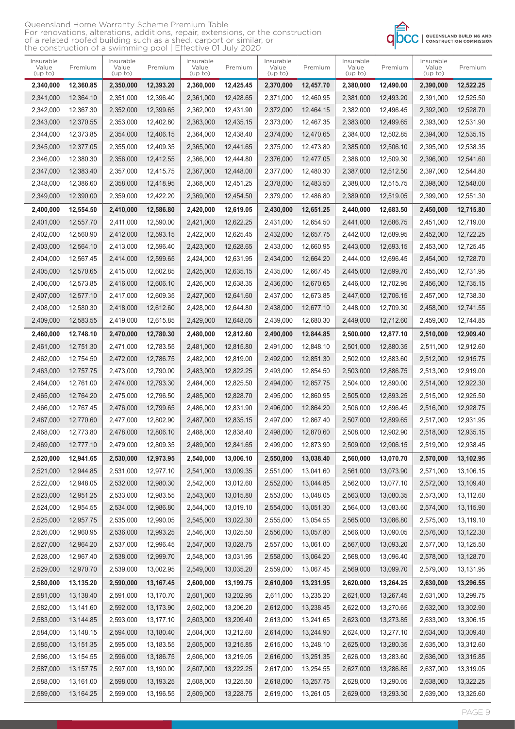| Queensland Home Warranty Scheme Premium Table                                    |
|----------------------------------------------------------------------------------|
| For renovations, alterations, additions, repair, extensions, or the construction |
| of a related roofed building such as a shed, carport or similar, or              |
| the construction of a swimming pool   Effective 01 July 2020                     |



| Insurable<br>Value<br>(up to) | Premium   | Insurable<br>Value<br>(up to) | Premium     | Insurable<br>Value<br>(up to) | Premium   | Insurable<br>Value<br>(up to) | Premium   | Insurable<br>Value<br>(up to) | Premium   | Insurable<br>Value<br>(up to) | Premium   |
|-------------------------------|-----------|-------------------------------|-------------|-------------------------------|-----------|-------------------------------|-----------|-------------------------------|-----------|-------------------------------|-----------|
| 2,340,000                     | 12,360.85 | 2,350,000                     | 12,393.20   | 2,360,000                     | 12,425.45 | 2,370,000                     | 12,457.70 | 2,380,000                     | 12,490.00 | 2,390,000                     | 12,522.25 |
| 2,341,000                     | 12,364.10 | 2,351,000                     | 12,396.40   | 2,361,000                     | 12,428.65 | 2,371,000                     | 12,460.95 | 2,381,000                     | 12,493.20 | 2,391,000                     | 12,525.50 |
| 2,342,000                     | 12,367.30 | 2,352,000                     | 12,399.65   | 2,362,000                     | 12,431.90 | 2,372,000                     | 12.464.15 | 2,382,000                     | 12,496.45 | 2,392,000                     | 12,528.70 |
| 2,343,000                     | 12,370.55 | 2,353,000                     | 12,402.80   | 2,363,000                     | 12,435.15 | 2,373,000                     | 12,467.35 | 2,383,000                     | 12,499.65 | 2,393,000                     | 12,531.90 |
| 2,344,000                     | 12,373.85 | 2,354,000                     | 12,406.15   | 2,364,000                     | 12,438.40 | 2,374,000                     | 12,470.65 | 2,384,000                     | 12,502.85 | 2,394,000                     | 12,535.15 |
| 2,345,000                     | 12,377.05 | 2,355,000                     | 12,409.35   | 2,365,000                     | 12.441.65 | 2,375,000                     | 12,473.80 | 2,385,000                     | 12,506.10 | 2,395,000                     | 12,538.35 |
| 2.346.000                     | 12,380.30 | 2,356,000                     | 12,412.55   | 2,366,000                     | 12.444.80 | 2,376,000                     | 12,477.05 | 2.386.000                     | 12,509.30 | 2,396,000                     | 12,541.60 |
| 2,347,000                     | 12,383.40 | 2,357,000                     | 12,415.75   | 2,367,000                     | 12,448.00 | 2,377,000                     | 12,480.30 | 2,387,000                     | 12,512.50 | 2,397,000                     | 12,544.80 |
| 2,348,000                     | 12,386.60 | 2,358,000                     | 12,418.95   | 2,368,000                     | 12,451.25 | 2,378,000                     | 12,483.50 | 2,388,000                     | 12,515.75 | 2,398,000                     | 12,548.00 |
| 2,349,000                     | 12,390.00 | 2,359,000                     | 12,422.20   | 2,369,000                     | 12,454.50 | 2,379,000                     | 12,486.80 | 2,389,000                     | 12,519.05 | 2,399,000                     | 12,551.30 |
| 2,400,000                     | 12,554.50 | 2,410,000                     | 12,586.80   | 2,420,000                     | 12,619.05 | 2,430,000                     | 12,651.25 | 2,440,000                     | 12,683.50 | 2,450,000                     | 12,715.80 |
| 2,401,000                     | 12,557.70 | 2,411,000                     | 12,590.00   | 2,421,000                     | 12,622.25 | 2,431,000                     | 12,654.50 | 2,441,000                     | 12,686.75 | 2,451,000                     | 12,719.00 |
| 2,402,000                     | 12,560.90 | 2,412,000                     | 12,593.15   | 2,422,000                     | 12.625.45 | 2,432,000                     | 12,657.75 | 2,442,000                     | 12,689.95 | 2,452,000                     | 12,722.25 |
| 2,403,000                     | 12.564.10 | 2,413,000                     | 12,596.40   | 2,423,000                     | 12,628.65 | 2,433,000                     | 12,660.95 | 2,443,000                     | 12,693.15 | 2,453,000                     | 12,725.45 |
| 2.404.000                     | 12,567.45 | 2,414,000                     | 12,599.65   | 2,424,000                     | 12.631.95 | 2,434,000                     | 12,664.20 | 2,444,000                     | 12,696.45 | 2,454,000                     | 12,728.70 |
| 2,405,000                     | 12,570.65 | 2,415,000                     | 12,602.85   | 2,425,000                     | 12,635.15 | 2,435,000                     | 12,667.45 | 2,445,000                     | 12,699.70 | 2,455,000                     | 12,731.95 |
| 2,406,000                     | 12,573.85 | 2,416,000                     | 12.606.10   | 2,426,000                     | 12,638.35 | 2,436,000                     | 12,670.65 | 2,446,000                     | 12,702.95 | 2,456,000                     | 12,735.15 |
| 2,407,000                     | 12,577.10 | 2,417,000                     | 12,609.35   | 2,427,000                     | 12.641.60 | 2,437,000                     | 12,673.85 | 2,447,000                     | 12,706.15 | 2,457,000                     | 12,738.30 |
| 2,408,000                     | 12,580.30 | 2,418,000                     | 12,612.60   | 2,428,000                     | 12,644.80 | 2,438,000                     | 12,677.10 | 2,448,000                     | 12,709.30 | 2,458,000                     | 12,741.55 |
| 2,409,000                     | 12,583.55 | 2,419,000                     | 12,615.85   | 2,429,000                     | 12,648.05 | 2,439,000                     | 12,680.30 | 2,449,000                     | 12,712.60 | 2,459,000                     | 12,744.85 |
| 2,460,000                     | 12,748.10 | 2,470,000                     | 12,780.30   | 2,480,000                     | 12,812.60 | 2,490,000                     | 12,844.85 | 2,500,000                     | 12,877.10 | 2,510,000                     | 12,909.40 |
| 2,461,000                     | 12,751.30 | 2,471,000                     | 12,783.55   | 2,481,000                     | 12,815.80 | 2,491,000                     | 12,848.10 | 2,501,000                     | 12,880.35 | 2,511,000                     | 12,912.60 |
| 2,462,000                     | 12,754.50 | 2,472,000                     | 12,786.75   | 2,482,000                     | 12,819.00 | 2,492,000                     | 12,851.30 | 2,502,000                     | 12,883.60 | 2,512,000                     | 12,915.75 |
| 2,463,000                     | 12,757.75 | 2,473,000                     | 12,790.00   | 2,483,000                     | 12,822.25 | 2,493,000                     | 12,854.50 | 2,503,000                     | 12,886.75 | 2,513,000                     | 12,919.00 |
| 2,464,000                     | 12,761.00 | 2,474,000                     | 12,793.30   | 2,484,000                     | 12,825.50 | 2,494,000                     | 12,857.75 | 2,504,000                     | 12,890.00 | 2,514,000                     | 12,922.30 |
| 2,465,000                     | 12,764.20 | 2,475,000                     | 12,796.50   | 2,485,000                     | 12.828.70 | 2,495,000                     | 12,860.95 | 2,505,000                     | 12,893.25 | 2,515,000                     | 12,925.50 |
| 2,466,000                     | 12,767.45 | 2,476,000                     | 12,799.65   | 2,486,000                     | 12.831.90 | 2,496,000                     | 12,864.20 | 2,506,000                     | 12,896.45 | 2,516,000                     | 12,928.75 |
| 2,467,000                     | 12,770.60 | 2,477,000                     | 12,802.90   | 2.487.000                     | 12,835.15 | 2,497,000                     | 12,867.40 | 2,507,000                     | 12,899.65 | 2,517,000                     | 12,931.95 |
| 2,468,000                     | 12,773.80 | 2,478,000                     | 12,806.10   | 2,488,000                     | 12,838.40 | 2,498,000                     | 12,870.60 | 2,508,000                     | 12,902.90 | 2,518,000                     | 12,935.15 |
| 2,469,000                     | 12,777.10 | 2,479,000                     | 12,809.35   | 2,489,000                     | 12,841.65 | 2,499,000                     | 12,873.90 | 2,509,000                     | 12,906.15 | 2,519,000                     | 12,938.45 |
| 2,520,000                     | 12,941.65 | 2,530,000                     | 12,973.95   | 2,540,000                     | 13,006.10 | 2,550,000                     | 13,038.40 | 2,560,000                     | 13,070.70 | 2,570,000                     | 13,102.95 |
| 2,521,000                     | 12,944.85 | 2,531,000                     | 12,977.10   | 2,541,000                     | 13,009.35 | 2,551,000                     | 13,041.60 | 2,561,000                     | 13,073.90 | 2,571,000                     | 13,106.15 |
| 2,522,000                     | 12,948.05 | 2,532,000                     | 12,980.30   | 2,542,000                     | 13,012.60 | 2,552,000                     | 13,044.85 | 2,562,000                     | 13,077.10 | 2,572,000                     | 13,109.40 |
| 2,523,000                     | 12,951.25 | 2,533,000                     | 12,983.55   | 2,543,000                     | 13,015.80 | 2,553,000                     | 13,048.05 | 2,563,000                     | 13,080.35 | 2,573,000                     | 13,112.60 |
| 2,524,000                     | 12,954.55 | 2,534,000                     | 12,986.80   | 2,544,000                     | 13,019.10 | 2,554,000                     | 13,051.30 | 2,564,000                     | 13,083.60 | 2,574,000                     | 13,115.90 |
| 2,525,000                     | 12,957.75 | 2,535,000                     | 12,990.05   | 2,545,000                     | 13,022.30 | 2,555,000                     | 13,054.55 | 2,565,000                     | 13,086.80 | 2,575,000                     | 13,119.10 |
| 2,526,000                     | 12,960.95 | 2,536,000                     | 12,993.25   | 2,546,000                     | 13,025.50 | 2,556,000                     | 13,057.80 | 2,566,000                     | 13,090.05 | 2,576,000                     | 13,122.30 |
| 2,527,000                     | 12,964.20 | 2,537,000                     | 12,996.45   | 2,547,000                     | 13,028.75 | 2,557,000                     | 13,061.00 | 2,567,000                     | 13,093.20 | 2,577,000                     | 13,125.50 |
| 2,528,000                     | 12,967.40 | 2,538,000                     | 12,999.70   | 2,548,000                     | 13,031.95 | 2,558,000                     | 13,064.20 | 2,568,000                     | 13,096.40 | 2,578,000                     | 13,128.70 |
| 2,529,000                     | 12,970.70 | 2,539,000                     | 13,002.95   | 2,549,000                     | 13,035.20 | 2,559,000                     | 13,067.45 | 2,569,000                     | 13,099.70 | 2,579,000                     | 13,131.95 |
| 2,580,000                     | 13,135.20 | 2,590,000                     | 13, 167. 45 | 2,600,000                     | 13,199.75 | 2,610,000                     | 13,231.95 | 2,620,000                     | 13,264.25 | 2,630,000                     | 13,296.55 |
| 2,581,000                     | 13,138.40 | 2,591,000                     | 13,170.70   | 2,601,000                     | 13,202.95 | 2,611,000                     | 13,235.20 | 2,621,000                     | 13,267.45 | 2,631,000                     | 13,299.75 |
| 2,582,000                     | 13,141.60 | 2,592,000                     | 13,173.90   | 2,602,000                     | 13,206.20 | 2,612,000                     | 13,238.45 | 2,622,000                     | 13,270.65 | 2,632,000                     | 13,302.90 |
| 2,583,000                     | 13,144.85 | 2,593,000                     | 13,177.10   | 2,603,000                     | 13,209.40 | 2,613,000                     | 13,241.65 | 2,623,000                     | 13,273.85 | 2,633,000                     | 13,306.15 |
| 2,584,000                     | 13,148.15 | 2,594,000                     | 13,180.40   | 2,604,000                     | 13,212.60 | 2,614,000                     | 13,244.90 | 2,624,000                     | 13,277.10 | 2,634,000                     | 13,309.40 |
| 2,585,000                     | 13,151.35 | 2,595,000                     | 13,183.55   | 2,605,000                     | 13,215.85 | 2,615,000                     | 13,248.10 | 2,625,000                     | 13,280.35 | 2,635,000                     | 13,312.60 |
| 2,586,000                     | 13,154.55 | 2,596,000                     | 13,186.75   | 2,606,000                     | 13,219.05 | 2,616,000                     | 13,251.35 | 2,626,000                     | 13,283.60 | 2,636,000                     | 13,315.85 |
| 2,587,000                     | 13,157.75 | 2,597,000                     | 13,190.00   | 2,607,000                     | 13,222.25 | 2,617,000                     | 13,254.55 | 2,627,000                     | 13,286.85 | 2,637,000                     | 13,319.05 |
| 2,588,000                     | 13,161.00 | 2,598,000                     | 13,193.25   | 2,608,000                     | 13,225.50 | 2,618,000                     | 13,257.75 | 2,628,000                     | 13,290.05 | 2,638,000                     | 13,322.25 |
| 2,589,000                     | 13,164.25 | 2,599,000                     | 13,196.55   | 2,609,000                     | 13,228.75 | 2,619,000                     | 13,261.05 | 2,629,000                     | 13,293.30 | 2,639,000                     | 13,325.60 |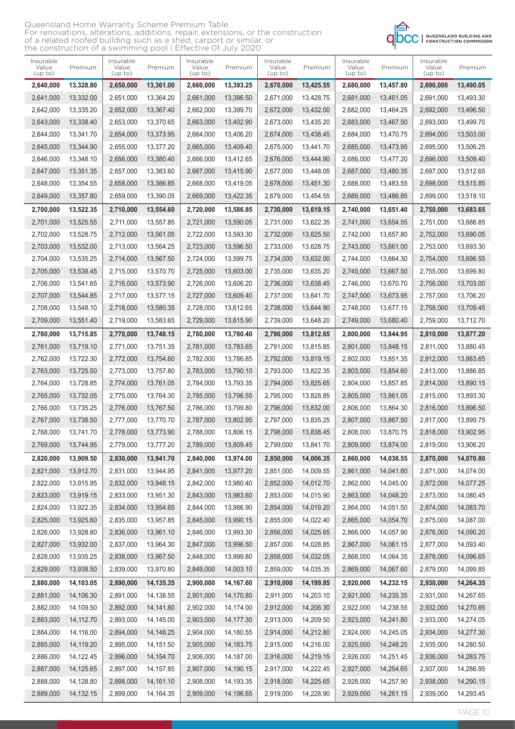| Queensland Home Warranty Scheme Premium Table                                    |
|----------------------------------------------------------------------------------|
| For renovations, alterations, additions, repair, extensions, or the construction |
| of a related roofed building such as a shed, carport or similar, or              |
| the construction of a swimming pool   Effective 01 July 2020                     |



| Insurable<br>Value<br>(up to) | Premium     | Insurable<br>Value<br>(up to) | Premium     | Insurable<br>Value<br>(up to) | Premium   | Insurable<br>Value<br>(up to) | Premium   | Insurable<br>Value<br>(up to) | Premium   | Insurable<br>Value<br>(up to) | Premium   |
|-------------------------------|-------------|-------------------------------|-------------|-------------------------------|-----------|-------------------------------|-----------|-------------------------------|-----------|-------------------------------|-----------|
| 2,640,000                     | 13,328.80   | 2,650,000                     | 13,361.00   | 2,660,000                     | 13,393.25 | 2,670,000                     | 13,425.55 | 2,680,000                     | 13,457.80 | 2,690,000                     | 13,490.05 |
| 2,641,000                     | 13,332.00   | 2,651,000                     | 13.364.20   | 2,661,000                     | 13,396.50 | 2,671,000                     | 13,428.75 | 2,681,000                     | 13,461.05 | 2.691.000                     | 13,493.30 |
| 2,642,000                     | 13,335.20   | 2,652,000                     | 13,367.40   | 2,662,000                     | 13,399.70 | 2,672,000                     | 13,432.00 | 2,682,000                     | 13,464.25 | 2,692,000                     | 13,496.50 |
| 2,643,000                     | 13,338.40   | 2,653,000                     | 13,370.65   | 2,663,000                     | 13,402.90 | 2,673,000                     | 13,435.20 | 2,683,000                     | 13,467.50 | 2,693,000                     | 13,499.70 |
| 2,644,000                     | 13,341.70   | 2,654,000                     | 13,373.95   | 2,664,000                     | 13,406.20 | 2,674,000                     | 13,438.45 | 2,684,000                     | 13,470.75 | 2,694,000                     | 13,503.00 |
| 2,645,000                     | 13,344.90   | 2,655,000                     | 13,377.20   | 2,665,000                     | 13,409.40 | 2,675,000                     | 13.441.70 | 2,685,000                     | 13,473.95 | 2,695,000                     | 13.506.25 |
| 2,646,000                     | 13,348.10   | 2,656,000                     | 13,380.40   | 2,666,000                     | 13,412.65 | 2,676,000                     | 13,444.90 | 2,686,000                     | 13,477.20 | 2,696,000                     | 13,509.40 |
| 2,647,000                     | 13,351.35   | 2,657,000                     | 13,383.60   | 2,667,000                     | 13,415.90 | 2,677,000                     | 13,448.05 | 2,687,000                     | 13,480.35 | 2,697,000                     | 13,512.65 |
| 2,648,000                     | 13,354.55   | 2,658,000                     | 13,386.85   | 2,668,000                     | 13,419.05 | 2,678,000                     | 13,451.30 | 2,688,000                     | 13,483.55 | 2,698,000                     | 13,515.85 |
| 2,649,000                     | 13,357.80   | 2,659,000                     | 13,390.05   | 2,669,000                     | 13,422.35 | 2,679,000                     | 13,454.55 | 2,689,000                     | 13,486.85 | 2,699,000                     | 13,519.10 |
| 2,700,000                     | 13,522.35   | 2,710,000                     | 13,554.60   | 2,720,000                     | 13,586.85 | 2,730,000                     | 13,619.15 | 2,740,000                     | 13,651.40 | 2,750,000                     | 13,683.65 |
| 2,701,000                     | 13,525.55   | 2,711,000                     | 13,557.85   | 2,721,000                     | 13,590.05 | 2,731,000                     | 13.622.35 | 2.741.000                     | 13,654.55 | 2,751,000                     | 13,686.85 |
| 2,702,000                     | 13,528.75   | 2,712,000                     | 13,561.05   | 2,722,000                     | 13,593.30 | 2,732,000                     | 13,625.50 | 2,742,000                     | 13,657.80 | 2,752,000                     | 13,690.05 |
| 2,703,000                     | 13,532.00   | 2,713,000                     | 13,564.25   | 2,723,000                     | 13,596.50 | 2,733,000                     | 13,628.75 | 2,743,000                     | 13,661.00 | 2,753,000                     | 13,693.30 |
| 2,704,000                     | 13,535.25   | 2,714,000                     | 13,567.50   | 2,724,000                     | 13,599.75 | 2,734,000                     | 13,632.00 | 2,744,000                     | 13,664.30 | 2,754,000                     | 13,696.55 |
| 2,705,000                     | 13,538.45   | 2,715,000                     | 13,570.70   | 2,725,000                     | 13,603.00 | 2,735,000                     | 13,635.20 | 2,745,000                     | 13,667.50 | 2,755,000                     | 13,699.80 |
| 2,706,000                     | 13,541.65   | 2,716,000                     | 13,573.90   | 2,726,000                     | 13,606.20 | 2,736,000                     | 13,638.45 | 2,746,000                     | 13,670.70 | 2,756,000                     | 13,703.00 |
| 2,707,000                     | 13,544.85   | 2,717,000                     | 13,577.15   | 2,727,000                     | 13.609.40 | 2,737,000                     | 13,641.70 | 2,747,000                     | 13,673.95 | 2,757,000                     | 13.706.20 |
| 2,708,000                     | 13,548.10   | 2,718,000                     | 13,580.35   | 2,728,000                     | 13,612.65 | 2,738,000                     | 13,644.90 | 2,748,000                     | 13,677.15 | 2,758,000                     | 13,709.45 |
| 2,709,000                     | 13,551.40   | 2,719,000                     | 13,583.65   | 2,729,000                     | 13,615.90 | 2,739,000                     | 13,648.20 | 2,749,000                     | 13,680.40 | 2,759,000                     | 13,712.70 |
| 2,760,000                     | 13,715.85   | 2,770,000                     | 13,748.15   | 2,780,000                     | 13,780.40 | 2,790,000                     | 13,812.65 | 2,800,000                     | 13,844.95 | 2,810,000                     | 13,877.20 |
| 2,761,000                     | 13,719.10   | 2,771,000                     | 13,751.35   | 2,781,000                     | 13,783.65 | 2,791,000                     | 13,815.85 | 2,801,000                     | 13,848.15 | 2,811,000                     | 13,880.45 |
| 2,762,000                     | 13,722.30   | 2,772,000                     | 13,754.60   | 2,782,000                     | 13,786.85 | 2,792,000                     | 13,819.15 | 2,802,000                     | 13,851.35 | 2,812,000                     | 13,883.65 |
| 2,763,000                     | 13,725.50   | 2,773,000                     | 13,757.80   | 2,783,000                     | 13,790.10 | 2,793,000                     | 13,822.35 | 2,803,000                     | 13,854.60 | 2,813,000                     | 13,886.85 |
| 2,764,000                     | 13,728.85   | 2,774,000                     | 13,761.05   | 2,784,000                     | 13,793.35 | 2,794,000                     | 13,825.65 | 2,804,000                     | 13,857.85 | 2,814,000                     | 13,890.15 |
| 2,765,000                     | 13,732.05   | 2,775,000                     | 13.764.30   | 2,785,000                     | 13,796.55 | 2,795,000                     | 13,828.85 | 2,805,000                     | 13,861.05 | 2,815,000                     | 13,893.30 |
| 2,766,000                     | 13,735.25   | 2,776,000                     | 13,767.50   | 2,786,000                     | 13,799.80 | 2,796,000                     | 13,832.00 | 2,806,000                     | 13.864.30 | 2,816,000                     | 13,896.50 |
| 2,767,000                     | 13,738.50   | 2,777,000                     | 13,770.70   | 2,787,000                     | 13,802.95 | 2,797,000                     | 13,835.25 | 2,807,000                     | 13,867.50 | 2,817,000                     | 13,899.75 |
| 2,768,000                     | 13,741.70   | 2,778,000                     | 13,773.90   | 2,788,000                     | 13,806.15 | 2,798,000                     | 13,838.45 | 2,808,000                     | 13,870.75 | 2,818,000                     | 13,902.95 |
| 2,769,000                     | 13,744.95   | 2,779,000                     | 13,777.20   | 2,789,000                     | 13,809.45 | 2,799,000                     | 13,841.70 | 2,809,000                     | 13,874.00 | 2,819,000                     | 13,906.20 |
| 2,820,000                     | 13,909.50   | 2,830,000                     | 13,941.70   | 2,840,000                     | 13,974.00 | 2,850,000                     | 14,006.35 | 2,860,000                     | 14,038.55 | 2,870,000                     | 14,070.80 |
| 2,821,000                     | 13,912.70   | 2,831,000                     | 13,944.95   | 2,841,000                     | 13,977.20 | 2,851,000                     | 14,009.55 | 2,861,000                     | 14,041.80 | 2,871,000                     | 14,074.00 |
| 2,822,000                     | 13,915.95   | 2,832,000                     | 13,948.15   | 2,842,000                     | 13,980.40 | 2,852,000                     | 14,012.70 | 2,862,000                     | 14,045.00 | 2,872,000                     | 14,077.25 |
| 2,823,000                     | 13,919.15   | 2,833,000                     | 13,951.30   | 2,843,000                     | 13,983.60 | 2,853,000                     | 14,015.90 | 2,863,000                     | 14,048.20 | 2,873,000                     | 14,080.45 |
| 2,824,000                     | 13,922.35   | 2,834,000                     | 13,954.65   | 2,844,000                     | 13,986.90 | 2,854,000                     | 14,019.20 | 2,864,000                     | 14,051.50 | 2,874,000                     | 14,083.70 |
| 2,825,000                     | 13,925.60   | 2,835,000                     | 13,957.85   | 2,845,000                     | 13,990.15 | 2,855,000                     | 14,022.40 | 2,865,000                     | 14,054.70 | 2,875,000                     | 14,087.00 |
| 2,826,000                     | 13,928.80   | 2,836,000                     | 13,961.10   | 2,846,000                     | 13,993.30 | 2,856,000                     | 14,025.65 | 2,866,000                     | 14,057.90 | 2,876,000                     | 14,090.20 |
| 2,827,000                     | 13,932.00   | 2,837,000                     | 13,964.30   | 2,847,000                     | 13,996.50 | 2,857,000                     | 14,028.85 | 2,867,000                     | 14,061.15 | 2,877,000                     | 14,093.40 |
| 2,828,000                     | 13,935.25   | 2,838,000                     | 13,967.50   | 2,848,000                     | 13,999.80 | 2,858,000                     | 14,032.05 | 2,868,000                     | 14,064.35 | 2,878,000                     | 14,096.65 |
| 2,829,000                     | 13,938.50   | 2,839,000                     | 13,970.80   | 2,849,000                     | 14,003.10 | 2,859,000                     | 14,035.35 | 2,869,000                     | 14,067.60 | 2,879,000                     | 14,099.85 |
| 2,880,000                     | 14,103.05   | 2,890,000                     | 14,135.35   | 2,900,000                     | 14,167.60 | 2,910,000                     | 14,199.85 | 2,920,000                     | 14,232.15 | 2,930,000                     | 14,264.35 |
| 2,881,000                     | 14,106.30   | 2,891,000                     | 14,138.55   | 2,901,000                     | 14,170.80 | 2,911,000                     | 14,203.10 | 2,921,000                     | 14,235.35 | 2,931,000                     | 14,267.65 |
| 2,882,000                     | 14,109.50   | 2,892,000                     | 14, 141.80  | 2,902,000                     | 14,174.00 | 2,912,000                     | 14,206.30 | 2,922,000                     | 14,238.55 | 2,932,000                     | 14,270.85 |
| 2,883,000                     | 14,112.70   | 2,893,000                     | 14,145.00   | 2,903,000                     | 14,177.30 | 2,913,000                     | 14,209.50 | 2,923,000                     | 14,241.80 | 2,933,000                     | 14,274.05 |
| 2,884,000                     | 14,116.00   | 2,894,000                     | 14,148.25   | 2,904,000                     | 14,180.55 | 2,914,000                     | 14,212.80 | 2,924,000                     | 14,245.05 | 2,934,000                     | 14,277.30 |
| 2,885,000                     | 14,119.20   | 2,895,000                     | 14, 151.50  | 2,905,000                     | 14,183.75 | 2,915,000                     | 14,216.00 | 2,925,000                     | 14,248.25 | 2,935,000                     | 14,280.50 |
| 2,886,000                     | 14,122.45   | 2,896,000                     | 14, 154. 70 | 2,906,000                     | 14,187.00 | 2,916,000                     | 14,219.15 | 2,926,000                     | 14,251.45 | 2,936,000                     | 14,283.75 |
| 2,887,000                     | 14,125.65   | 2,897,000                     | 14, 157.85  | 2,907,000                     | 14,190.15 | 2,917,000                     | 14,222.45 | 2,927,000                     | 14,254.65 | 2,937,000                     | 14,286.95 |
| 2,888,000                     | 14,128.80   | 2,898,000                     | 14, 161. 10 | 2,908,000                     | 14,193.35 | 2,918,000                     | 14,225.65 | 2,928,000                     | 14,257.90 | 2,938,000                     | 14,290.15 |
| 2,889,000                     | 14, 132. 15 | 2,899,000                     | 14, 164. 35 | 2,909,000                     | 14,196.65 | 2,919,000                     | 14,228.90 | 2,929,000                     | 14,261.15 | 2,939,000                     | 14,293.45 |